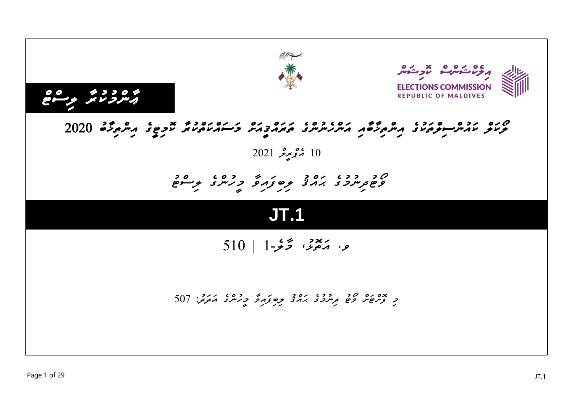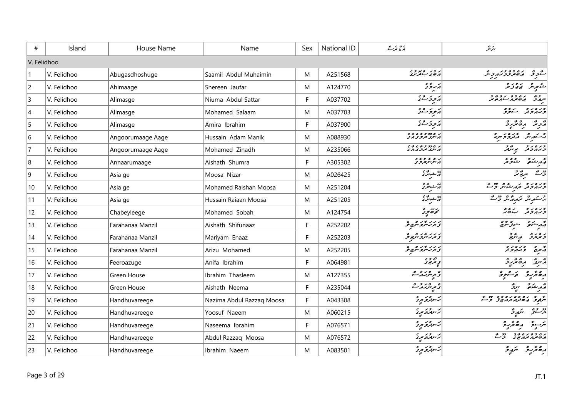| #                        | Island      | House Name        | Name                      | Sex | National ID | ، ه ، بر <u>م</u>                       | ىئرىتر                             |
|--------------------------|-------------|-------------------|---------------------------|-----|-------------|-----------------------------------------|------------------------------------|
| V. Felidhoo              |             |                   |                           |     |             |                                         |                                    |
| 1                        | V. Felidhoo | Abugasdhoshuge    | Saamil Abdul Muhaimin     | M   | A251568     | ر ور ه پو و ،<br>پرې کوستورنون          | رە دە دېرىر بىر<br>سەرپۇ           |
| $\overline{2}$           | V. Felidhoo | Ahimaage          | Shereen Jaufar            | M   | A124770     | بر رید ،<br>مرگ                         | شميرس ورود                         |
| 3                        | V. Felidhoo | Alimasge          | Niuma Abdul Sattar        | F   | A037702     | لروؤسو                                  | כל נסכס נסבכ<br>ממלך הסנגי מפיצ    |
| $\overline{\mathcal{A}}$ | V. Felidhoo | Alimasge          | Mohamed Salaam            | M   | A037703     | أتمعر خسفو                              | وره رو در در ده<br>وبردرو در سوگرو |
| 5                        | V. Felidhoo | Alimasge          | Amira Ibrahim             | F   | A037900     | وسرخ سقومي                              | وحرمز المعتربر                     |
| 6                        | V. Felidhoo | Angoorumaage Aage | Hussain Adam Manik        | M   | A088930     | ر ۲۵ و و پر ۲ و ۲<br>۲. سربی محرمی از ۲ |                                    |
| 7                        | V. Felidhoo | Angoorumaage Aage | Mohamed Zinadh            | M   | A235066     | ر ۵ ۶۵ و ۵ و ۵<br>۱رسرۍ مرح پر د        | ورەر دېھ پەش                       |
| 8                        | V. Felidhoo | Annaarumaage      | Aishath Shumra            | F   | A305302     | ر ه ۶ و ۶ و<br>د سرسربر <del>و</del> د  | ړ کر شکو شور پر                    |
| 9                        | V. Felidhoo | Asia ge           | Moosa Nizar               | M   | A026425     | ں<br>اگر شہوری                          | وحر سرچ پر                         |
| 10                       | V. Felidhoo | Asia ge           | Mohamed Raishan Moosa     | M   | A251204     | ین<br>در شدور <sub>ک</sub>              | ورەرو رەستەر وق                    |
| 11                       | V. Felidhoo | Asia ge           | Hussain Raiaan Moosa      | M   | A251205     | ر،<br>پرسشوپری                          | بر مسكر مركز من المراكز فراكستر    |
| 12                       | V. Felidhoo | Chabeyleege       | Mohamed Sobah             | M   | A124754     | ری د ؟<br>کوه د د                       | وره دو دره و                       |
| 13                       | V. Felidhoo | Farahanaa Manzil  | Aishath Shifunaaz         | F   | A252202     | ز برر بر پر ه په ی                      | ىشەۋىترىج<br>لصمر ينسكونهم         |
| 14                       | V. Felidhoo | Farahanaa Manzil  | Mariyam Enaaz             | F   | A252203     | ىز برىر ئىرىم شىرى بى                   | و مرد و مرتبع                      |
| 15                       | V. Felidhoo | Farahanaa Manzil  | Arizu Mohamed             | M   | A252205     | ۇ ئەر ئەر ئەر ئە                        | وحميرة وبرودو                      |
| 16                       | V. Felidhoo | Feeroazuge        | Anifa Ibrahim             | F   | A064981     | و ۶ د ه<br>پي ترېځ د                    |                                    |
| 17                       | V. Felidhoo | Green House       | Ibrahim Thasleem          | M   | A127355     | ە بەي <i>رى</i> ر ئەر                   | دە ئېرىۋ<br>ئ <sub>م</sub> سىمبر ۋ |
| 18                       | V. Felidhoo | Green House       | Aishath Neema             | F   | A235044     | ە بەي <i>رىرى</i> م                     | لقرمرشقرة<br>سرچڙ                  |
| 19                       | V. Felidhoo | Handhuvareege     | Nazima Abdul Razzaq Moosa | F   | A043308     | ئەسە <i>تى ئە</i> رى                    | ر د د ده ده ده د د د               |
| 20                       | V. Felidhoo | Handhuvareege     | Yoosuf Naeem              | M   | A060215     | ئەسە <i>تى ئە</i> رى                    | دد حره<br>در سور<br>سمدقر          |
| 21                       | V. Felidhoo | Handhuvareege     | Naseema Ibrahim           | F   | A076571     | ئەسە <i>ترەكى</i> رىگە                  | يرَبِيرُ رِهْتُرِ دِ               |
| 22                       | V. Felidhoo | Handhuvareege     | Abdul Razzaq Moosa        | M   | A076572     |                                         | ر ه د ه ر ه د د<br>مرد مرد مخ      |
| 23                       | V. Felidhoo | Handhuvareege     | Ibrahim Naeem             | M   | A083501     | ر سر پرې <sub>کړ</sub> د                | رە ئرىر ئىر                        |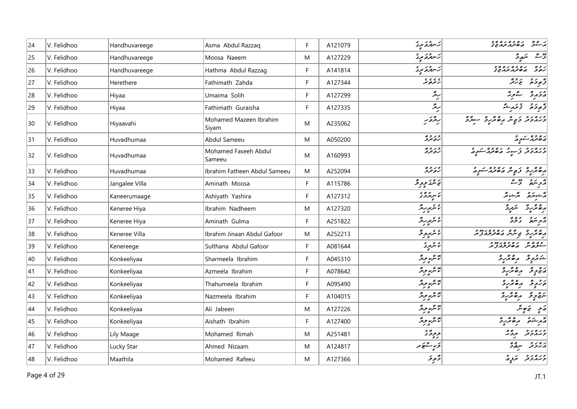| 24 | V. Felidhoo | Handhuvareege  | Asma Abdul Razzaq               | F  | A121079 | سروری مربح                      | ג ם כ ם ג ם ב ב<br>ג פי בקו <i>ג ה</i> מ ב<br>برعيڅ                     |
|----|-------------|----------------|---------------------------------|----|---------|---------------------------------|-------------------------------------------------------------------------|
| 25 | V. Felidhoo | Handhuvareege  | Moosa Naeem                     | M  | A127229 | <br> سرچرې مړی                  | روم شهره                                                                |
| 26 | V. Felidhoo | Handhuvareege  | Hathma Abdul Razzag             | F. | A141814 | ئەس <i>ەۋە بې</i> رى            | נ כל נס כסנס לב<br>נים כ" השינו מנים ב                                  |
| 27 | V. Felidhoo | Herethere      | Fathimath Zahda                 | F  | A127344 | ې په په په<br>رنگرد کل          | ۇ بوز ئ<br>ىئ تر تىگر                                                   |
| 28 | V. Felidhoo | Hiyaa          | Umaima Solih                    | F  | A127299 | رپڑ                             | ەزەرىۋ<br>سەً وِرُ                                                      |
| 29 | V. Felidhoo | Hiyaa          | Fathimath Guraisha              | F  | A127335 | ريژ                             | و دو چمکه شک                                                            |
| 30 | V. Felidhoo | Hiyaavahi      | Mohamed Mazeen Ibrahim<br>Siyam | M  | A235062 | ىرەژە ئەر                       | כנסני גן וסתנים ליותר                                                   |
| 31 | V. Felidhoo | Huvadhumaa     | Abdul Sameeu                    | M  | A050200 | و ر و و<br>رونرو                | גם בם ג'<br>ג'ם בנג הבב ג'                                              |
| 32 | V. Felidhoo | Huvadhumaa     | Mohamed Faseeh Abdul<br>Sameeu  | M  | A160993 | و ر و پر<br>ر <sub>حو</sub> ترو | כנסנפ צ' הבינספס הבב                                                    |
| 33 | V. Felidhoo | Huvadhumaa     | Ibrahim Fatheen Abdul Sameeu    | M  | A252094 | و ر و و<br>رونرو                | ת <i>סיקי</i> ב צוף יים גם כם הבה                                       |
| 34 | V. Felidhoo | Jangalee Villa | Aminath Moosa                   | F. | A115786 | ئ <sub>ە</sub> ئىرىمۇ جويۇ      | أأرمز المحمد المحمد                                                     |
| 35 | V. Felidhoo | Kaneerumaage   | Ashiyath Yashira                | F  | A127312 | ر سرچوي<br>موجرد د              | ر<br>أر شواركو الر شواركو                                               |
| 36 | V. Felidhoo | Keneree Hiya   | Ibrahim Nadheem                 | M  | A127320 | ، ئەبىرىە<br>ئامىرىرىر          | ەر ھەترىر <i>2</i><br>سرورو                                             |
| 37 | V. Felidhoo | Keneree Hiya   | Aminath Gulma                   | F. | A251822 | ، ئەبىرىرى <i>ر</i><br>ئوس      | ړ ده ده ده.<br>مرح سره د د                                              |
| 38 | V. Felidhoo | Keneree Villa  | Ibrahim Jinaan Abdul Gafoor     | M  | A252213 | ، ئەبىرە ب <sup>ۇ</sup>         | ת <i>סיק ב</i> ב יישוב הסביר החדר<br>ת <i>סיק ב ב ייש</i> וב הסביר הציג |
| 39 | V. Felidhoo | Kenereege      | Sulthana Abdul Gafoor           | F. | A081644 | ې په په په<br>ما مگر پېړۍ       | وه پر پر ده وه بردو و<br>سوچي کر پر هنرموټرنو پر                        |
| 40 | V. Felidhoo | Konkeeliyaa    | Sharmeela Ibrahim               | F. | A045310 | #يربر ببرةً                     | ە ھەترىرى<br>رەھمەر<br>ے پڑ <sub>و پ</sub> وً                           |
| 41 | V. Felidhoo | Konkeeliyaa    | Azmeela Ibrahim                 | F  | A078642 | لينقر موجز                      | ەھ ترىرى<br>ىر چ چ <sub>ە</sub> ئىچە                                    |
| 42 | V. Felidhoo | Konkeeliyaa    | Thahumeela Ibrahim              | F  | A095490 | بیو ه<br>تا مثر پیومر           | ە ھەترىر 3<br>ۇرۇپۇ                                                     |
| 43 | V. Felidhoo | Konkeeliyaa    | Nazmeela Ibrahim                | F  | A104015 | بره پر<br>تاشر پرورگر           | ڔۛۨۦڿڔڋ<br>يتوجو څر                                                     |
| 44 | V. Felidhoo | Konkeeliyaa    | Ali Jabeen                      | M  | A127226 | بره پر<br>پاش <sub>ریو</sub> ر  | أرجو أتم صريحه                                                          |
| 45 | V. Felidhoo | Konkeeliyaa    | Aishath Ibrahim                 | F  | A127400 | بيو عربر<br>سياسيو پېر          | وكرو المتحرم                                                            |
| 46 | V. Felidhoo | Lily Maage     | Mohamed Rimah                   | M  | A251481 | و و د ؟<br>  ر و                | و ره ر و<br><i>و پر</i> پر تر<br>ىر ئە بە                               |
| 47 | V. Felidhoo | Lucky Star     | Ahmed Nizaam                    | M  | A124817 | ئەرىپە شەھ بىر                  | ر ە ر د<br>م.ر تر تر<br>سرچوڅ                                           |
| 48 | V. Felidhoo | Maathila       | Mohamed Rafeeu                  | M  | A127366 | ځوځه                            | ورەر دىر                                                                |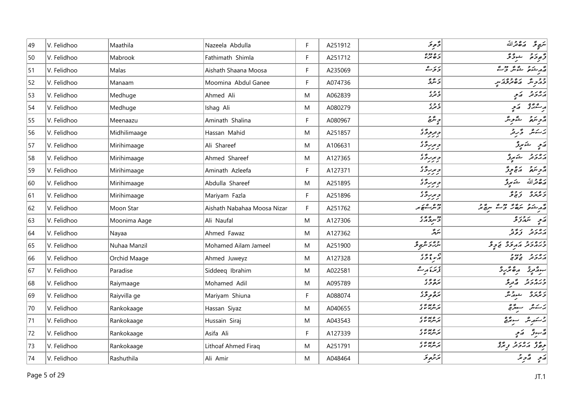| 49 | V. Felidhoo | Maathila     | Nazeela Abdulla             | F         | A251912 | قرموخه                                 | سَمِيحَة صَ <b>صَد</b> َاللّه                                                                                                                                                                                                    |
|----|-------------|--------------|-----------------------------|-----------|---------|----------------------------------------|----------------------------------------------------------------------------------------------------------------------------------------------------------------------------------------------------------------------------------|
| 50 | V. Felidhoo | Mabrook      | Fathimath Shimla            | F.        | A251712 | ر ه دده<br><del>ر</del> حدی            | أَوْجِرْحَمْ شَرْحَرْ مَنْ                                                                                                                                                                                                       |
| 51 | V. Felidhoo | Malas        | Aishath Shaana Moosa        | F.        | A235069 | ى ئەر ھ                                | ە يەن ئەن « ئ                                                                                                                                                                                                                    |
| 52 | V. Felidhoo | Manaam       | Moomina Abdul Ganee         | F.        | A074736 | تر شرح                                 | כגב ה גם כפגעת                                                                                                                                                                                                                   |
| 53 | V. Felidhoo | Medhuge      | Ahmed Ali                   | M         | A062839 | ړ و ،<br>و تورک                        | رەرد دَى                                                                                                                                                                                                                         |
| 54 | V. Felidhoo | Medhuge      | Ishag Ali                   | M         | A080279 | ړ و ړ<br>تر تر د                       | در عبرته لا کمیتو                                                                                                                                                                                                                |
| 55 | V. Felidhoo | Meenaazu     | Aminath Shalina             | F         | A080967 | جريثر                                  | أزويتني الشويثر                                                                                                                                                                                                                  |
| 56 | V. Felidhoo | Midhilimaage | Hassan Mahid                | ${\sf M}$ | A251857 | او درود دي<br><u>درو</u> د د           | يەسەھە ئەرەر                                                                                                                                                                                                                     |
| 57 | V. Felidhoo | Mirihimaage  | Ali Shareef                 | M         | A106631 | او بوروی<br><u>در</u>                  | ړې خوړ وگ                                                                                                                                                                                                                        |
| 58 | V. Felidhoo | Mirihimaage  | Ahmed Shareef               | M         | A127365 | او بوروی<br>او بوروی                   | رەرد شىرو                                                                                                                                                                                                                        |
| 59 | V. Felidhoo | Mirihimaage  | Aminath Azleefa             | F.        | A127371 | و برر و ؟<br>ر ر ر                     | أأدبتهم أكالمحبوق                                                                                                                                                                                                                |
| 60 | V. Felidhoo | Mirihimaage  | Abdulla Shareef             | M         | A251895 | د برر د د<br>  د برر د د               | أرة قرالله خوموثر                                                                                                                                                                                                                |
| 61 | V. Felidhoo | Mirihimaage  | Mariyam Fazla               | F         | A251896 | و بور و ه<br> <br> ----                | و و د و د و                                                                                                                                                                                                                      |
| 62 | V. Felidhoo | Moon Star    | Aishath Nabahaa Moosa Nizar | F         | A251762 | « ۵ ره د پر                            | ה היה משל מי יהוד בין היה ה                                                                                                                                                                                                      |
| 63 | V. Felidhoo | Moonima Aage | Ali Naufal                  | M         | A127306 | חי<br>ב"תבא"ז                          | أەيج شەدى                                                                                                                                                                                                                        |
| 64 | V. Felidhoo | Nayaa        | Ahmed Fawaz                 | M         | A127362 | ىترىژ                                  | برەر د بر د و<br>مەردىس تى ھ                                                                                                                                                                                                     |
| 65 | V. Felidhoo | Nuhaa Manzil | Mohamed Ailam Jameel        | M         | A251900 | ىر <i>دۇ ئە</i> ھبى بى                 | ورەرو روزى ق چ                                                                                                                                                                                                                   |
| 66 | V. Felidhoo | Orchid Maage | Ahmed Juweyz                | M         | A127328 | ه وه و،<br>مرد در                      | נים נים במיד<br>הגבע ביפיב                                                                                                                                                                                                       |
| 67 | V. Felidhoo | Paradise     | Siddeeq Ibrahim             | M         | A022581 | ې ئەئە ب <sub>ە</sub> ر<br>ئىرىم ئەرەب | ٢٠٠٠٠٠٠٠٠٠٠٠٠                                                                                                                                                                                                                    |
| 68 | V. Felidhoo | Raiymaage    | Mohamed Adil                | M         | A095789 | ر ه و ء<br>برج <del>و</del> و          | ورەر د ئەرۋ                                                                                                                                                                                                                      |
| 69 | V. Felidhoo | Raiyvilla ge | Mariyam Shiuna              | F         | A088074 | ره<br>بره و ژی                         | ره ره در وي.<br>تربربر شور ش                                                                                                                                                                                                     |
| 70 | V. Felidhoo | Rankokaage   | Hassan Siyaz                | M         | A040655 | ر ەيدىر<br>برس ئىر                     | يرُ سُدُ مُنْ سَنَدَّجْ                                                                                                                                                                                                          |
| 71 | V. Felidhoo | Rankokaage   | Hussain Siraj               | M         | A043543 | ر ٥ پر دي<br>برس را ر                  | بر کشمیر شده استفرانی<br>مرگزار میلیون                                                                                                                                                                                           |
| 72 | V. Felidhoo | Rankokaage   | Asifa Ali                   | F         | A127339 | ر ٥ × ٥ ي<br>برس د د د                 |                                                                                                                                                                                                                                  |
| 73 | V. Felidhoo | Rankokaage   | Lithoaf Ahmed Firaq         | M         | A251791 | ر ٥ پر <u>دی</u><br>بر سرد در د        |                                                                                                                                                                                                                                  |
| 74 | V. Felidhoo | Rashuthila   | Ali Amir                    | M         | A048464 | برزموخه                                | ة سوقر المتحفظ المتحفظ المتحفظ المتحفظ المتحفظ المتحفظ المتحفظ المتحفظ المتحفظ المتحفظ المتحفظ المتحفظ المتحفظ<br>المتحفظ المتحفظ المتحفظ المتحفظ المتحفظ المتحفظ المتحفظ المتحفظ المتحفظ المتحفظ المتحفظ المتحفظ المتحفظ المتحف |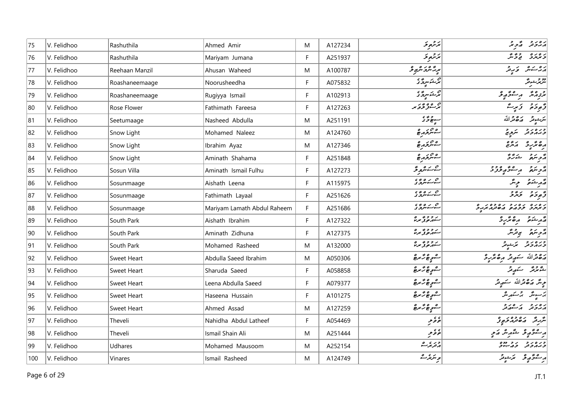| 75  | V. Felidhoo | Rashuthila         | Ahmed Amir                  | M         | A127234 | تزىزە ئە                               | پ <sup>ر</sup> و بر<br>پرور و                       |
|-----|-------------|--------------------|-----------------------------|-----------|---------|----------------------------------------|-----------------------------------------------------|
| 76  | V. Felidhoo | Rashuthila         | Mariyam Jumana              | F         | A251937 | بردر                                   | ر ه ر ه<br>د بربرگ<br>ح بح مگر<br>مع <del>گ</del> ر |
| 77  | V. Felidhoo | Reehaan Manzil     | Ahusan Waheed               | ${\sf M}$ | A100787 | بررتىرىكرى                             | أروك عربي                                           |
| 78  | V. Felidhoo | Roashaneemaage     | Noorusheedha                | F         | A075832 | جرىئە <sub>مېر</sub> ىخ ئى             | بزر م<br>سر بگر شونگر                               |
| 79  | V. Felidhoo | Roashaneemaage     | Rugiyya Ismail              | F         | A102913 | ئۇيسىدىسى ئىچ<br>                      | برومو<br>وستوصي                                     |
| 80  | V. Felidhoo | Rose Flower        | Fathimath Fareesa           | F         | A127263 | ە رە ە بەر<br>بىر سىز ئۆھ بىر          | وٌموحه وَمِرِتٌ                                     |
| 81  | V. Felidhoo | Seetumaage         | Nasheed Abdulla             | M         | A251191 | د د د ،<br>په د د د                    | <i>سَرَشوِتْر مَنْ هُ</i> تَرَاللّه                 |
| 82  | V. Felidhoo | Snow Light         | Mohamed Naleez              | ${\sf M}$ | A124760 | ە بەر<br>سەنگرىز مۇ                    | ورەرو شرور                                          |
| 83  | V. Felidhoo | Snow Light         | Ibrahim Ayaz                | ${\sf M}$ | A127346 | <u> مىمزىر ۋ</u>                       | ם מים מתאם                                          |
| 84  | V. Felidhoo | Snow Light         | Aminath Shahama             | F         | A251848 | <u>م</u> مركز <sub>مر</sub> ة          | أأدبره المنافرة                                     |
| 85  | V. Felidhoo | Sosun Villa        | Aminath Ismail Fulhu        | F         | A127273 | <u>ش ئەنگرو ئۇ</u>                     | הכיתי ה-הקלבני                                      |
| 86  | V. Felidhoo | Sosunmaage         | Aishath Leena               | F         | A115975 | <u>م ئەشرىخ ئ</u>                      | د مرشوم<br>مرم شوم<br>په شور شو.<br>په شور شو       |
| 87  | V. Felidhoo | Sosunmaage         | Fathimath Layaal            | F         | A251626 | <u>م بە پەرە</u>                       | و ده دود                                            |
| 88  | V. Felidhoo | Sosunmaage         | Mariyam Lamath Abdul Raheem | F         | A251686 | <u>مر بره و پر</u>                     | ג סגם גםגב גם כםגם<br>ב זמרי יודרומים ומסינות זמרי  |
| 89  | V. Felidhoo | South Park         | Aishath Ibrahim             | F         | A127322 | ر د د و و ه<br>سوهره و مر              | أقهر ينكفى أره تربر                                 |
| 90  | V. Felidhoo | South Park         | Aminath Zidhuna             | F         | A127375 | سەد دېږېدره                            | أثرجر سنتعر بمحتر يتمر                              |
| 91  | V. Felidhoo | South Park         | Mohamed Rasheed             | M         | A132000 | سەد دېږېدره                            | ورەرو كەيدۇ                                         |
| 92  | V. Felidhoo | Sweet Heart        | Abdulla Saeed Ibrahim       | M         | A050306 | <u> شوءٍ تُرَىم ح</u>                  | رە داللە سەريىز رەمزىيەد                            |
| 93  | V. Felidhoo | Sweet Heart        | Sharuda Saeed               | F         | A058858 | <u>م و و ژبر و</u>                     | شەمرىر سەرىر                                        |
| 94  | V. Felidhoo | Sweet Heart        | Leena Abdulla Saeed         | F         | A079377 |                                        | مِيسَر بَرْ2فراللّه سَنَ يُدَرِ                     |
| 95  | V. Felidhoo | <b>Sweet Heart</b> | Haseena Hussain             | F         | A101275 | <u> م</u> ُو <sub>ج</sub> ع رَّ برع    | ىرسىدىكە ئەسكىرىنلەر                                |
| 96  | V. Felidhoo | <b>Sweet Heart</b> | Ahmed Assad                 | M         | A127259 | <u> م<sub>وه</sub> و ځ</u> بر <u>ه</u> | גם גם גם גב                                         |
| 97  | V. Felidhoo | Theveli            | Nahidha Abdul Latheef       | F         | A054469 | ەءىر                                   | تررتر مەمەم كې                                      |
| 98  | V. Felidhoo | Theveli            | Ismail Shain Ali            | ${\sf M}$ | A251444 | هو هو مو                               | ر جۇمۇ خەرشى كە                                     |
| 99  | V. Felidhoo | <b>Udhares</b>     | Mohamed Mausoom             | M         | A252154 | د ر ، م<br>مرمرسه                      | 022 21 21012<br>CLRCU CRHC                          |
| 100 | V. Felidhoo | Vinares            | Ismail Rasheed              | ${\sf M}$ | A124749 | اءِ پرَ پِرِ م                         | ر جۇرگى ئىشىڭ                                       |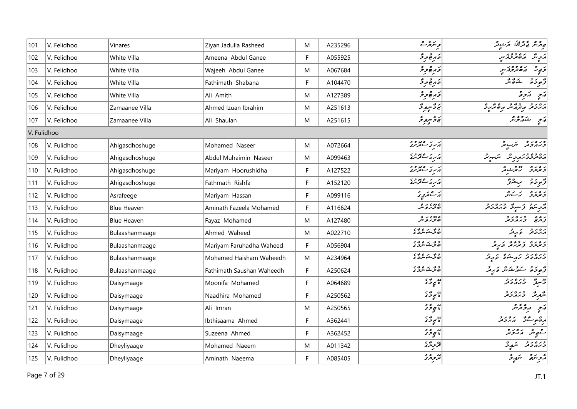| 101         | V. Felidhoo | Vinares            | Ziyan Jadulla Rasheed     | M           | A235296 | ە ئىر ئۈرگە                           | بح مرَّسْ قَوْمِرْ اللّهِ عَرَسُومَرْ            |
|-------------|-------------|--------------------|---------------------------|-------------|---------|---------------------------------------|--------------------------------------------------|
| 102         | V. Felidhoo | White Villa        | Ameena Abdul Ganee        | F           | A055925 | ر<br>ور <sub>ع</sub> ور               | أرَّدٍ سُرِّ مُقْدَمَ مِنْ مِنْ                  |
| 103         | V. Felidhoo | White Villa        | Wajeeh Abdul Ganee        | M           | A067684 | وَرِءُودً                             | ر و ره ووړس                                      |
| 104         | V. Felidhoo | White Villa        | Fathimath Shabana         | F           | A104470 | ءَ مرڪ عر                             | ژوده شکش                                         |
| 105         | V. Felidhoo | White Villa        | Ali Amith                 | M           | A127389 | ورءور                                 | أتمنع أترقو                                      |
| 106         | V. Felidhoo | Zamaanee Villa     | Ahmed Izuan Ibrahim       | M           | A251613 | ئۇ ئەبرو ئى                           | קסק ב בשם הסתקב                                  |
| 107         | V. Felidhoo | Zamaanee Villa     | Ali Shaulan               | M           | A251615 | ئە ئەسرە قر                           | أركموا الشروع فيحر                               |
| V. Fulidhoo |             |                    |                           |             |         |                                       |                                                  |
| 108         | V. Fulidhoo | Ahigasdhoshuge     | Mohamed Naseer            | M           | A072664 | پر بر ۱۵ پورې                         | ورەرو بريد                                       |
| 109         | V. Fulidhoo | Ahigasdhoshuge     | Abdul Muhaimin Naseer     | M           | A099463 | پر بر ۱۵ پود د<br>  پر بر پر سوفرس    | קספס פק הקייר ויקראיקיק<br>הסתיב <i>ב</i> אקפייק |
| 110         | V. Fulidhoo | Ahigasdhoshuge     | Mariyam Hoorushidha       | F           | A127522 | د ر ر ه پود ،<br>مرکب سونسرور         | رەرە دوم<br>تەبەرى رىمرىشىر                      |
| 111         | V. Fulidhoo | Ahigasdhoshuge     | Fathmath Rishfa           | $\mathsf F$ | A152120 | <br>  در ره سود د د ح<br>             | أراموخام المراشور                                |
| 112         | V. Fulidhoo | Asrafeege          | Mariyam Hassan            | $\mathsf F$ | A099116 | پر ش <sub>م</sub> ېرې دي              | دەرە برىك                                        |
| 113         | V. Fulidhoo | <b>Blue Heaven</b> | Aminath Fazeela Mohamed   | $\mathsf F$ | A116624 | ه دوی ر ه<br><i>ه مور</i> و س         | أأوسكم وكسوؤ وبرودو                              |
| 114         | V. Fulidhoo | <b>Blue Heaven</b> | Fayaz Mohamed             | M           | A127480 | ه دوی ر ه<br><i>ه مور</i> و س         | ر ده ۵ در ۵ در و<br>در سر در بر در در            |
| 115         | V. Fulidhoo | Bulaashanmaage     | Ahmed Waheed              | M           | A022710 | و د بر ه د ،<br><b>ه تر</b> شرور د    | پروتر کرېنگر                                     |
| 116         | V. Fulidhoo | Bulaashanmaage     | Mariyam Faruhadha Waheed  | F.          | A056904 | ە ئۇ شەھرىيە<br>ھۆشەمىرى <i>د</i> ى   | ر ه ره د د د و د د                               |
| 117         | V. Fulidhoo | Bulaashanmaage     | Mohamed Haisham Waheedh   | M           | A234964 | و په په ده و ،<br><b>پې</b> نومونو د  | ورەرو رەرخۇ كەيل                                 |
| 118         | V. Fulidhoo | Bulaashanmaage     | Fathimath Saushan Waheedh | F           | A250624 | ە ئۇ شەھرىيە<br>ھۆشەمىرى <i>د</i> ى   |                                                  |
| 119         | V. Fulidhoo | Daisymaage         | Moonifa Mohamed           | $\mathsf F$ | A064689 | پر پر دی<br>  پاسم پیونز <sub>ک</sub> | כיעל כמחכת                                       |
| 120         | V. Fulidhoo | Daisymaage         | Naadhira Mohamed          | F           | A250562 | )» سرچری<br>  ناسخ تر <sub>ک</sub>    | شرير ورورو                                       |
| 121         | V. Fulidhoo | Daisymaage         | Ali Imran                 | M           | A250565 | ا» سرچری<br>  ناسخ ترک                | أريب ويحتر يتر                                   |
| 122         | V. Fulidhoo | Daisymaage         | Ibthisaama Ahmed          | F           | A362441 | پر سپر می<br>  پاسم سپر سپر           |                                                  |
| 123         | V. Fulidhoo | Daisymaage         | Suzeena Ahmed             | F.          | A362452 | پی پیچ تر <sub>ک</sub>                | سمبې شهر پر در د                                 |
| 124         | V. Fulidhoo | Dheyliyaage        | Mohamed Naeem             | M           | A011342 | قرمویزی<br>  قرمویزی                  | ورەرو شھرى                                       |
| 125         | V. Fulidhoo | Dheyliyaage        | Aminath Naeema            | E           | A085405 | قر عربری<br>  قر عربری                | أأزويتم تتمدح                                    |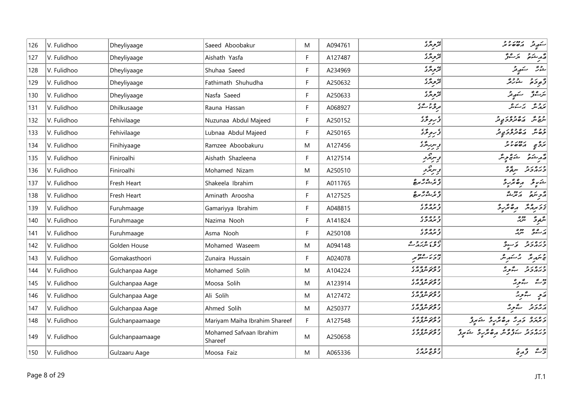| 126 | V. Fulidhoo | Dheyliyaage     | Saeed Aboobakur                    | M           | A094761 | ے<br>تر و پر د                                | 77/77/7<br>سئەرىتىر                                            |
|-----|-------------|-----------------|------------------------------------|-------------|---------|-----------------------------------------------|----------------------------------------------------------------|
| 127 | V. Fulidhoo | Dheyliyaage     | Aishath Yasfa                      | F           | A127487 | ہ دیں ہے۔<br>  تو پوری                        | ىزىسىۋ<br>و مر شه د<br>مرم شهور                                |
| 128 | V. Fulidhoo | Dheyliyaage     | Shuhaa Saeed                       | F           | A234969 | ء،<br>مرمز پر                                 | دور من مدير<br>مشرق مسكونتر                                    |
| 129 | V. Fulidhoo | Dheyliyaage     | Fathimath Shuhudha                 | F           | A250632 | ء، پر پر ،<br>  قرموبر <sub>ک</sub>           | ۇ بوز بو<br>ے ترتر                                             |
| 130 | V. Fulidhoo | Dheyliyaage     | Nasfa Saeed                        | F           | A250633 | ء، پر پر پر<br>مرگ                            | ىئەر ھەمچ<br>سكور قر                                           |
| 131 | V. Fulidhoo | Dhilkusaage     | Rauna Hassan                       | F           | A068927 | و 2 و 2 مئے ي                                 | برژیٹر<br>برسەپىر                                              |
| 132 | V. Fulidhoo | Fehivilaage     | Nuzunaa Abdul Majeed               | F.          | A250152 | ۇر <sub>ەر ب</sub> ۇ ئ                        | پر پر مئر<br>سرچ سر<br>رە دەر يەر<br>مەھەرگەدى <sub>ي</sub> ەر |
| 133 | V. Fulidhoo | Fehivilaage     | Lubnaa Abdul Majeed                | F           | A250165 | ا در موځۍ<br><u>سرم</u>                       | ر ٥ و ٥ و ر<br>پرې تر بر تو تر<br>ترەشر                        |
| 134 | V. Fulidhoo | Finihiyaage     | Ramzee Aboobakuru                  | M           | A127456 | او سربر پر ج<br>او سربر پر ج                  | 77777<br> بروي                                                 |
| 135 | V. Fulidhoo | Finiroalhi      | Aishath Shazleena                  | $\mathsf F$ | A127514 | وسرچو                                         | وحمر يشكونني<br>ے کے عرمگر                                     |
| 136 | V. Fulidhoo | Finiroalhi      | Mohamed Nizam                      | M           | A250510 | و سر پژو<br>تر س                              | و ر ه ر د<br>تر پر تر تر<br>سرچو                               |
| 137 | V. Fulidhoo | Fresh Heart     | Shakeela Ibrahim                   | F           | A011765 | ە ب <sub>ە ش</sub> ەر ئەرە                    | ەھ تررۈ<br>ىشەر ئۇ                                             |
| 138 | V. Fulidhoo | Fresh Heart     | Aminath Aroosha                    | $\mathsf F$ | A127525 | و بر شر <i>گر</i> یع                          | پر دو بدی <sub>ش</sub><br>پ <sup>ر</sup> تر سرچ                |
| 139 | V. Fulidhoo | Furuhmaage      | Gamariyya Ibrahim                  | F           | A048815 | و وه پو ،<br>تو <i>پور و</i> ی                | יצב מגור גם מיניב                                              |
| 140 | V. Fulidhoo | Furuhmaage      | Nazima Nooh                        | F           | A141824 | و وه پر پر<br>تو <i>پور</i> و <sub>ک</sub>    | متَّرمُّ تَرْ<br>مبره                                          |
| 141 | V. Fulidhoo | Furuhmaage      | Asma Nooh                          | F           | A250108 | و وه پو ،<br>تو <i>پور</i> و <sub>ک</sub>     | ره په<br>تترجر                                                 |
| 142 | V. Fulidhoo | Golden House    | Mohamed Waseem                     | M           | A094148 | ە يە يەر دەر<br>ئەمەندىن مەركىسى              | و ر ه ر د<br>د بر پر تر                                        |
| 143 | V. Fulidhoo | Gomakasthoori   | Zunaira Hussain                    | F           | A024078 | پور بر ۶۵۵<br>تر <del>و</del> بر ۱۳۵۵ مر      | ج ئىرىد ئەسىر شەر بىر                                          |
| 144 | V. Fulidhoo | Gulchanpaa Aage | Mohamed Solih                      | M           | A104224 | د ه ر ه و و د<br>د <del>و</del> که سرتم د د   | و ر ه ر و<br>د بر پر تر تر<br>سِگورُ                           |
| 145 | V. Fulidhoo | Gulchanpaa Aage | Moosa Solih                        | M           | A123914 | و ه پر ه و و و »<br>  د نوکه مرتو بر د        | دو مئے<br>ستكور                                                |
| 146 | V. Fulidhoo | Gulchanpaa Aage | Ali Solih                          | M           | A127472 | د ه بر ه پوځ ،<br>د <del>تر</del> ګوسرتی پر د | أرشم المشور                                                    |
| 147 | V. Fulidhoo | Gulchanpaa Aage | Ahmed Solih                        | M           | A250377 | وەپرە ھەر                                     | رەرد بەرد                                                      |
| 148 | V. Fulidhoo | Gulchanpaamaage | Mariyam Maiha Ibrahim Shareef      | F           | A127548 | و ه بر ه پوځ »<br>  د نوکه سرتونو د           | כמתכ בתל תפתוב ביתור                                           |
| 149 | V. Fulidhoo | Gulchanpaamaage | Mohamed Safvaan Ibrahim<br>Shareef | M           | A250658 | 9 ص ر ۵ م و ۲<br>  ک محرکم سرتی تر ت          | و رور و دوم ده ده دره شمېرو شو                                 |
| 150 | V. Fulidhoo | Gulzaaru Aage   | Moosa Faiz                         | M           | A065336 | و ه په و په و<br>د <del>م</del> ربح بمراد و   | وحمش وحمدي                                                     |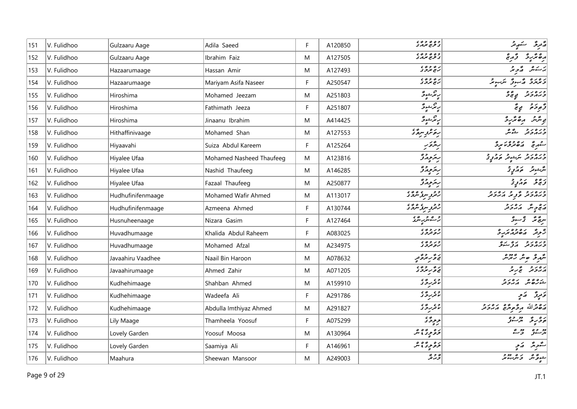| 151 | V. Fulidhoo | Gulzaaru Aage     | Adila Saeed              | F | A120850 | و ه پر و پر د<br>د موسی بودر د                                                                              | ەگەرگە<br>مەسرىگە<br>سە پەتىر                     |
|-----|-------------|-------------------|--------------------------|---|---------|-------------------------------------------------------------------------------------------------------------|---------------------------------------------------|
| 152 | V. Fulidhoo | Gulzaaru Aage     | Ibrahim Faiz             | M | A127505 | 5 <i>۵ ۶ ۶ ۶ ۹</i><br>۲ <b>۶ ۶</b> ۶ ۴ ۶                                                                    | وە ئۈرۈ<br>ترمرج                                  |
| 153 | V. Fulidhoo | Hazaarumaage      | Hassan Amir              | M | A127493 | ر ۶ و ۶ ی<br>رسخ موری                                                                                       |                                                   |
| 154 | V. Fulidhoo | Hazaarumaage      | Mariyam Asifa Naseer     | F | A250547 | ر ۶ و ۶ ی<br>رسخ مرو ی                                                                                      | כמוכ להנ" ת'הול                                   |
| 155 | V. Fulidhoo | Hiroshima         | Mohamed Jeezam           | M | A251803 | رىر<br>ئىسسىم                                                                                               | ورەر دېۋ                                          |
| 156 | V. Fulidhoo | Hiroshima         | Fathimath Jeeza          | F | A251807 | $\begin{array}{c c} \hline & \circ & \circ \\ \hline & \circ & \circ \\ \hline & \circ & \circ \end{array}$ | أَرْجِرَهُ مِيَّ                                  |
| 157 | V. Fulidhoo | Hiroshima         | Jinaanu Ibrahim          | M | A414425 | رىرىسوۋ                                                                                                     | م شر مره شرد<br>م                                 |
| 158 | V. Fulidhoo | Hithaffinivaage   | Mohamed Shan             | M | A127553 | رەڭروپىر <i>ە</i> ئ                                                                                         | ورەرو ئەر                                         |
| 159 | V. Fulidhoo | Hiyaavahi         | Suiza Abdul Kareem       | F | A125264 | ىرەژچە بە                                                                                                   | - مهمج ما محمد وه ما مرد                          |
| 160 | V. Fulidhoo | Hiyalee Ufaa      | Mohamed Nasheed Thaufeeg | M | A123816 | ىر پىر بىر ئە                                                                                               | <i>כנסגב</i> תוכנת החקל                           |
| 161 | V. Fulidhoo | Hiyalee Ufaa      | Nashid Thaufeeg          | M | A146285 | ر پرېو پر ژ                                                                                                 | <br> سر <sub>ك</sub> ىشونى ئەرك <sub>ىر</sub> ىتى |
| 162 | V. Fulidhoo | Hiyalee Ufaa      | Fazaal Thaufeeg          | M | A250877 | <br>  په ټرو ژنځ                                                                                            | تر پنج و په چې چې په چې ته کالو په په کالو کې د   |
| 163 | V. Fulidhoo | Hudhufinifenmaage | Mohamed Wafir Ahmed      | M | A113017 | د د <sub>و سر</sub> و ه د و د                                                                               | ورەر د په دەر د                                   |
| 164 | V. Fulidhoo | Hudhufinifenmaage | Azmeena Ahmed            | F | A130744 | د و به برو شرگری<br>ساز بر بر برگر                                                                          | أرجم وبتر أمرد ورد                                |
| 165 | V. Fulidhoo | Husnuheenaage     | Nizara Gasim             | F | A127464 | <i>ر م</i> مرگزیدگر<br>م                                                                                    | سرچ پر توسو                                       |
| 166 | V. Fulidhoo | Huvadhumaage      | Khalida Abdul Raheem     | F | A083025 | و ر و » ،<br>ره ترو د                                                                                       | ر دو ده ده ده کرد و                               |
| 167 | V. Fulidhoo | Huvadhumaage      | Mohamed Afzal            | M | A234975 | و ر و د »<br>ر ه ترو د                                                                                      | ورەر دەردە<br><i>جەم</i> ەدىر م <i>ەۋ</i> ىنىۋ    |
| 168 | V. Fulidhoo | Javaahiru Vaadhee | Naail Bin Haroon         | M | A078632 | ئە ئۇ سە ئەرگە بىر                                                                                          | شرو ویر رسمبر                                     |
| 169 | V. Fulidhoo | Javaahirumaage    | Ahmed Zahir              | M | A071205 | ر پر پر پر پر<br>محمد سرچ <sub>ک</sub>                                                                      | برورو مجرو                                        |
| 170 | V. Fulidhoo | Kudhehimaage      | Shahban Ahmed            | M | A159910 | دې په په                                                                                                    | رەر رەرد                                          |
| 171 | V. Fulidhoo | Kudhehimaage      | Wadeefa Ali              | F | A291786 | دې په په<br>  توگر د د                                                                                      | أَوَمِرِدٌ - مَا يَحْ                             |
| 172 | V. Fulidhoo | Kudhehimaage      | Abdulla Imthiyaz Ahmed   | M | A291827 | ه د به په<br>مورځ د                                                                                         | ره والله مرد ورع مره دو                           |
| 173 | V. Fulidhoo | Lily Maage        | Thamheela Yoosuf         | F | A075299 | ووڈ ء<br>ر                                                                                                  | ره پر در دو<br>مورپر در مر                        |
| 174 | V. Fulidhoo | Lovely Garden     | Yoosuf Moosa             | M | A130964 | نزه د په په پر                                                                                              | دد حره<br>مرسسو<br>دو مح                          |
| 175 | V. Fulidhoo | Lovely Garden     | Saamiya Ali              | F | A146961 | ئەھرىپە ئەنگە                                                                                               | ستهويژ اړمو                                       |
| 176 | V. Fulidhoo | Maahura           | Sheewan Mansoor          | M | A249003 | یو و پیچ<br>تربرنتر                                                                                         |                                                   |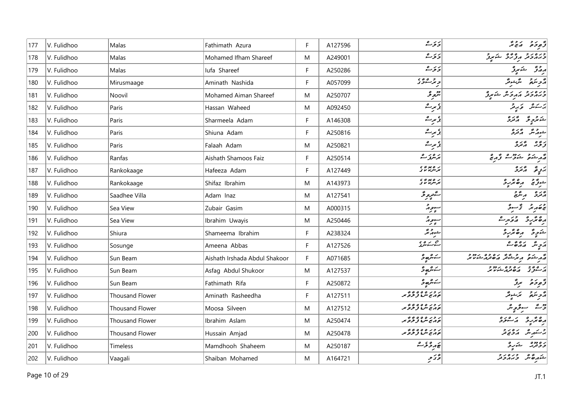| 177 | V. Fulidhoo | Malas                  | Fathimath Azura               | F.          | A127596 | ى ئەر ھ                                   | وتجوحته الماح مر                                                                                |
|-----|-------------|------------------------|-------------------------------|-------------|---------|-------------------------------------------|-------------------------------------------------------------------------------------------------|
| 178 | V. Fulidhoo | Malas                  | Mohamed Ifham Shareef         | M           | A249001 | ىز ئە                                     | ورەرو رومو شىر                                                                                  |
| 179 | V. Fulidhoo | Malas                  | lufa Shareef                  | F           | A250286 | ئەتەرىشە                                  | أماني المستمرق                                                                                  |
| 180 | V. Fulidhoo | Mirusmaage             | Aminath Nashida               | F           | A057099 | <br>  د بر سور د                          | أأوسكم التكيفون                                                                                 |
| 181 | V. Fulidhoo | Noovil                 | Mohamed Aiman Shareef         | M           | A250707 | يتره وه                                   | כנסגב גגבי ביציב                                                                                |
| 182 | V. Fulidhoo | Paris                  | Hassan Waheed                 | M           | A092450 | ۇ بر م                                    | برسكش كالبرقر                                                                                   |
| 183 | V. Fulidhoo | Paris                  | Sharmeela Adam                | F           | A146308 | ېزىر مە<br>ب                              | شەرەر ئەرە                                                                                      |
| 184 | V. Fulidhoo | Paris                  | Shiuna Adam                   | $\mathsf F$ | A250816 | وتمرعه                                    | أشوارهم المجردة                                                                                 |
| 185 | V. Fulidhoo | Paris                  | Falaah Adam                   | M           | A250821 | إؤبرب                                     | ر وه د وره<br>وڅر گرمزو                                                                         |
| 186 | V. Fulidhoo | Ranfas                 | Aishath Shamoos Faiz          | F           | A250514 | ىر ھ <sub>ى</sub> تەت                     | أثار مشتقى مشترحت وأربع                                                                         |
| 187 | V. Fulidhoo | Rankokaage             | Hafeeza Adam                  | F           | A127449 | ر ٥ پر <u>دی</u><br>بر سربر رک            | بَرَوٍ لَهُمْ الْمُرْوَّرِ                                                                      |
| 188 | V. Fulidhoo | Rankokaage             | Shifaz Ibrahim                | M           | A143973 | ر ٥ پر دي<br>برس د د ک                    | شورمج مح<br>مراجع<br>ەرھ ئ <sup>ۆ</sup> ر ۋ                                                     |
| 189 | V. Fulidhoo | Saadhee Villa          | Adam Inaz                     | M           | A127541 | ڪ <sup>ي</sup> وره گ <sup>ي</sup>         | پر ہ<br>مرمر<br>ەرىتىنج                                                                         |
| 190 | V. Fulidhoo | Sea View               | Zubair Gasim                  | M           | A000315 | سوەر<br>ئەر                               |                                                                                                 |
| 191 | V. Fulidhoo | Sea View               | Ibrahim Uwayis                | M           | A250446 | سوە چەرگە<br>ئەس                          | رەنزىر مۇرب                                                                                     |
| 192 | V. Fulidhoo | Shiura                 | Shameema Ibrahim              | F           | A238324 | اڪوريجر<br>پ                              |                                                                                                 |
| 193 | V. Fulidhoo | Sosunge                | Ameena Abbas                  | F           | A127526 | <u>مریرہ پر</u>                           | $\begin{array}{ccc} \circ & \circ & \circ & \circ \\ \circ & \circ & \circ & \circ \end{array}$ |
| 194 | V. Fulidhoo | Sun Beam               | Aishath Irshada Abdul Shakoor | F.          | A071685 | سەمپەر                                    |                                                                                                 |
| 195 | V. Fulidhoo | Sun Beam               | Asfag Abdul Shukoor           | M           | A127537 | سەمپە                                     | ر ٥ ۶ ٥ ٥ رود و<br>پرڪ توپر شونو تو<br>ىر ھۇ تە<br>مەسىرىق تى                                   |
| 196 | V. Fulidhoo | Sun Beam               | Fathimath Rifa                | F           | A250872 | سەھەر                                     | ۇۋدۇ بېرۇ                                                                                       |
| 197 | V. Fulidhoo | <b>Thousand Flower</b> | Aminath Rasheedha             | $\mathsf F$ | A127511 | ر در ه ه ه ه » »<br>د پر پي سره تو څرخ سر | أأترسكم المركبون                                                                                |
| 198 | V. Fulidhoo | <b>Thousand Flower</b> | Moosa Silveen                 | M           | A127512 | ر د ر ه ه ه ه و و<br>بود بح سره توڅوڅ پر  | المزمش<br>سوقومر                                                                                |
| 199 | V. Fulidhoo | Thousand Flower        | Ibrahim Aslam                 | M           | A250474 | ر د ر ه ه ه ه و و<br>بود بح سره تو څرخ بر | مەھرىرى كەسىرى                                                                                  |
| 200 | V. Fulidhoo | <b>Thousand Flower</b> | Hussain Amjad                 | M           | A250478 | ر د ر ه ه ه ه د د<br>بود بح سره تو څرخ بر | جرشهر مرورو                                                                                     |
| 201 | V. Fulidhoo | <b>Timeless</b>        | Mamdhooh Shaheem              | M           | A250187 | عَهْدِ وْعَرْبْتْهِ                       | ر و دوه شور و<br>د و توبر شور و                                                                 |
| 202 | V. Fulidhoo | Vaagali                | Shaiban Mohamed               | M           | A164721 | ړ ر<br>خ تر مر                            | شەرەش دىرەرد                                                                                    |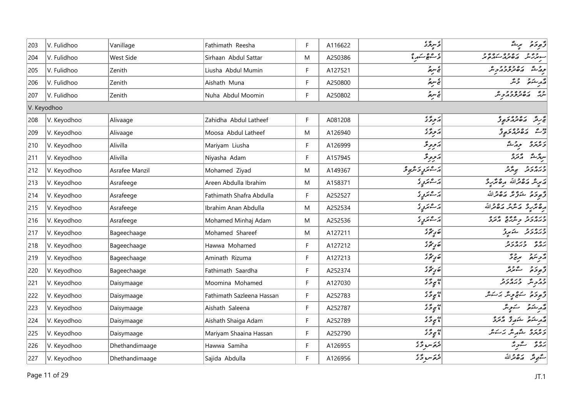| 203 | V. Fulidhoo | Vanillage        | Fathimath Reesha          | F | A116622 | ء سرچري<br> -                           | قهودة بريئة                                                                                        |
|-----|-------------|------------------|---------------------------|---|---------|-----------------------------------------|----------------------------------------------------------------------------------------------------|
| 204 | V. Fulidhoo | <b>West Side</b> | Sirhaan Abdul Sattar      | M | A250386 | ې موه شه. ه<br>مرگ                      | כש כ- גם כם גם שב<br>سوپرس השנה سه פת                                                              |
| 205 | V. Fulidhoo | Zenith           | Liusha Abdul Mumin        | F | A127521 | یم سرچ<br>م                             | ره وه و و و ه<br>پره تر تر تر بر<br>ورژ شگر                                                        |
| 206 | V. Fulidhoo | Zenith           | Aishath Muna              | F | A250800 | ې سرچ                                   | ە ئەستىم ئ                                                                                         |
| 207 | V. Fulidhoo | Zenith           | Nuha Abdul Moomin         | F | A250802 | ځېږمز                                   |                                                                                                    |
|     | V. Keyodhoo |                  |                           |   |         |                                         |                                                                                                    |
| 208 | V. Keyodhoo | Alivaage         | Zahidha Abdul Latheef     | F | A081208 | پر پوځ                                  | عرد مصر مصر من المعنى من المحرم من المحرم من المحرم من المحرم من المحرم المحرم المحرم من المحرم ال |
| 209 | V. Keyodhoo | Alivaage         | Moosa Abdul Latheef       | M | A126940 | پەنوچ                                   | دو ده ده ده دو و                                                                                   |
| 210 | V. Keyodhoo | Alivilla         | Mariyam Liusha            | F | A126999 | أروء وٌ                                 | أوسرو وديد                                                                                         |
| 211 | V. Keyodhoo | Alivilla         | Niyasha Adam              | F | A157945 | أروء و                                  | سرمزَّتْ ارْمَرْد                                                                                  |
| 212 | V. Keyodhoo | Asrafee Manzil   | Mohamed Ziyad             | M | A149367 | <br> ەسسىمۇچە ئىرى                      | ورەر دېھ پر                                                                                        |
| 213 | V. Keyodhoo | Asrafeege        | Areen Abdulla Ibrahim     | M | A158371 | ىر شەنىزى <sub>ر</sub> ئ                | مستحصر من معاللة من محمد بحر                                                                       |
| 214 | V. Keyodhoo | Asrafeege        | Fathimath Shafra Abdulla  | F | A252527 | پر شو پر پر پر                          | و برد بره و بره دالله                                                                              |
| 215 | V. Keyodhoo | Asrafeege        | Ibrahim Anan Abdulla      | M | A252534 | ئەسشەنىرىي ئە                           | مەھەر ئەسكەر ئەھەراللە                                                                             |
| 216 | V. Keyodhoo | Asrafeege        | Mohamed Minhaj Adam       | M | A252536 | ىر شەنىزى <sub>ر</sub> ئ                | ورەر د ورە ورە                                                                                     |
| 217 | V. Keyodhoo | Bageechaage      | Mohamed Shareef           | M | A127211 | ے پر پڑے<br> ی پر پڑی                   | ورەر د شهرو                                                                                        |
| 218 | V. Keyodhoo | Bageechaage      | Hawwa Mohamed             | F | A127212 | <br>  ته په ترکو د                      | ره د دره رد<br> برمو دبرمرد                                                                        |
| 219 | V. Keyodhoo | Bageechaage      | Aminath Rizuma            | F | A127213 | له رید ،<br> حدید تر                    | أأزجر سكرة والمحمدة ومحر                                                                           |
| 220 | V. Keyodhoo | Bageechaage      | Fathimath Saardha         | F | A252374 | له د په ده<br>موسي                      | سە ئەترىتر<br>ا تو جر حر<br>الرقبي جر حر                                                           |
| 221 | V. Keyodhoo | Daisymaage       | Moomina Mohamed           | F | A127030 | پر سپر می<br>  پاسم سپر سپر             | כגב בגם בכ                                                                                         |
| 222 | V. Keyodhoo | Daisymaage       | Fathimath Sazleena Hassan | F | A252783 | ء<br>  ۽ سمي پر <sub>ک</sub>            | قەم ئەھم سىم ئەيدىن بىر سىر                                                                        |
| 223 | V. Keyodhoo | Daisymaage       | Aishath Saleena           | F | A252787 | پی پیچ دی<br>  پائی پیچ تر <sub>ک</sub> | ۇرمىشكى سىگە ئىش                                                                                   |
| 224 | V. Keyodhoo | Daisymaage       | Aishath Shaiga Adam       | F | A252789 | پر سپر دی<br>  پاسم سپر حرک             | مەر شەم شەرقى مەمرو                                                                                |
| 225 | V. Keyodhoo | Daisymaage       | Mariyam Shaaina Hassan    | F | A252790 | پر پر دی<br>  پاسم پر ژک                | دەرە ئۇرىگە ئەسەر                                                                                  |
| 226 | V. Keyodhoo | Dhethandimaage   | Hawwa Samiha              | F | A126955 | مَرجو سو رَّ رَ                         | پروی گورمح                                                                                         |
| 227 | V. Keyodhoo | Dhethandimaage   | Sajida Abdulla            | F | A126956 | ې ئەھەمبىي ئ <sup>ەي</sup>              | گويوتگر <b>برگ</b> وتمرالله                                                                        |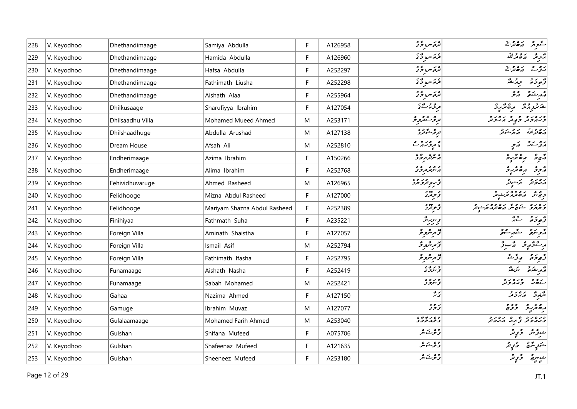| 228 | V. Keyodhoo | Dhethandimaage   | Samiya Abdulla               | F  | A126958 | <br>  مریر سو پ <sup>ر</sup> د                   | مَە قىراللە<br>الستمريز                                           |
|-----|-------------|------------------|------------------------------|----|---------|--------------------------------------------------|-------------------------------------------------------------------|
| 229 | V. Keyodhoo | Dhethandimaage   | Hamida Abdulla               | F. | A126960 | ې ئەھەر ئ <sup>ى</sup> رى<br>قىرمۇسىر <i>ق</i>   | جَّحِةً صَصَّرَاللَّه                                             |
| 230 | V. Keyodhoo | Dhethandimaage   | Hafsa Abdulla                | F  | A252297 | مَرجو سو رَّ رَ                                  | بروج مكافقرالله                                                   |
| 231 | V. Keyodhoo | Dhethandimaage   | Fathimath Liusha             | F  | A252298 | قرىئو سو ۋى                                      | وٌودَهُ وړ گ                                                      |
| 232 | V. Keyodhoo | Dhethandimaage   | Aishath Alaa                 | F  | A255964 | مُرەَ سو رَّ دَ                                  | ړه ده ورځ                                                         |
| 233 | V. Keyodhoo | Dhilkusaage      | Sharufiyya Ibrahim           | F  | A127054 | ەر ۋە ئەسەر                                      | يتعرومه مقترره                                                    |
| 234 | V. Keyodhoo | Dhilsaadhu Villa | Mohamed Mueed Ahmed          | M  | A253171 | مرعر ستقرم ع                                     | وره رو و ده ره رو<br><i>د ب</i> رمرونر و پر کربرونر               |
| 235 | V. Keyodhoo | Dhilshaadhuge    | Abdulla Arushad              | M  | A127138 | ترتر شەترى                                       | رەقراللە كەرشكە                                                   |
| 236 | V. Keyodhoo | Dream House      | Afsah Ali                    | M  | A252810 | ء بر <sub>3</sub> رچ م                           | ېرو ئەيز كەير                                                     |
| 237 | V. Keyodhoo | Endherimaage     | Azima Ibrahim                | F  | A150266 | ا د عروز برد د ؟<br>امریز برد د                  | برە ئۆرۈ<br>وحجاجحه                                               |
| 238 | V. Keyodhoo | Endherimaage     | Alima Ibrahim                | F. | A252768 | ه و و د و و د<br>د سربر برد د                    | برە ئۆرۈ<br>وتمرقر                                                |
| 239 | V. Keyodhoo | Fehividhuvaruge  | Ahmed Rasheed                | M  | A126965 | ې سره ترکو تر د ،<br>ترکيبر ترکو ترکو            | رەر ئەسىر<br>مەركى ئەسىر                                          |
| 240 | V. Keyodhoo | Felidhooge       | Mizna Abdul Rasheed          | F  | A127000 | ه وده<br>توموتری                                 | وی شهر ده ده د سود کلیده<br>دی شهر مان مورد موسود                 |
| 241 | V. Keyodhoo | Felidhooge       | Mariyam Shazna Abdul Rasheed | F  | A252389 | ء ودء<br>تر و ترد                                | ر ٥ ر ٥ ر و ۶ ر ٥ و ٥ ر ر و و<br>و بربرو هنوی ش پر محمد بر برشونر |
| 242 | V. Keyodhoo | Finihiyaa        | Fathmath Suha                | F  | A235221 | او سربر پژ<br><u>سبب</u>                         | ۇ <sub>ج</sub> ودۇ سىر<br>ك                                       |
| 243 | V. Keyodhoo | Foreign Villa    | Aminath Shaistha             | F  | A127057 | زىرىثىرۇ                                         | أروستم والمشمر والمحمد                                            |
| 244 | V. Keyodhoo | Foreign Villa    | Ismail Asif                  | M  | A252794 | زىرىثرە ئە                                       | وستوفي ومبيو                                                      |
| 245 | V. Keyodhoo | Foreign Villa    | Fathimath Ifasha             | F  | A252795 | ۇ <sub>مرى</sub> ش <sub>ىر</sub> ئە              | وتجوحكم ورقشة                                                     |
| 246 | V. Keyodhoo | Funamaage        | Aishath Nasha                | F  | A252419 | و ر د ،<br>و سرچ د                               | م<br>مەم شەھ <sub>ە</sub> سىرىش                                   |
| 247 | V. Keyodhoo | Funamaage        | Sabah Mohamed                | M  | A252421 | و پر پر پر<br>توسر <del>ی</del> ر <sub>ک</sub>   | ر د دره دره<br>سنامه د برد در                                     |
| 248 | V. Keyodhoo | Gahaa            | Nazima Ahmed                 | F  | A127150 | ىزچ                                              | شَعْرِ مَمْرَ مَرَّ                                               |
| 249 | V. Keyodhoo | Gamuge           | Ibrahim Muvaz                | M  | A127077 | ر و ،<br>د د د                                   | دە ئەر دەر                                                        |
| 250 | V. Keyodhoo | Gulalaamaage     | Mohamed Farih Ahmed          | M  | A253040 | وه ر پر پر د<br>د <del>م</del> ر <i>پر څ</i> ر د | ورەرو ۋىرچ رەرو                                                   |
| 251 | V. Keyodhoo | Gulshan          | Shifana Mufeed               | F. | A075706 | 3 مۇشەھر                                         | حوژ شر د و پر                                                     |
| 252 | V. Keyodhoo | Gulshan          | Shafeenaz Mufeed             | F  | A121635 | 3 مىيە ئىش                                       | لضويدة<br>تر و پر                                                 |
| 253 | V. Keyodhoo | Gulshan          | Sheeneez Mufeed              | F. | A253180 | 3 مۇيىتە بىر                                     | حبس و و ديگر<br>موسيع                                             |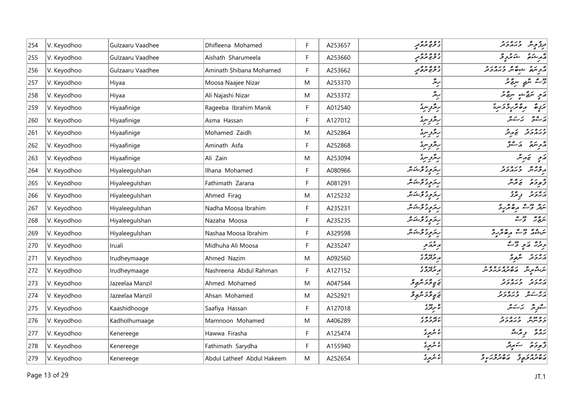| 254 | V. Keyodhoo | Gulzaaru Vaadhee | Dhifleena Mohamed          | F  | A253657 | د ه په د و په مړ                                   | دروويتر وبرورد                                                                                                                                                                                                            |
|-----|-------------|------------------|----------------------------|----|---------|----------------------------------------------------|---------------------------------------------------------------------------------------------------------------------------------------------------------------------------------------------------------------------------|
| 255 | V. Keyodhoo | Gulzaaru Vaadhee | Aishath Sharumeela         | F. | A253660 | وه پر و پر<br>  د څرنځ مرغ مړ                      | ۇرىشى ئىمرچ                                                                                                                                                                                                               |
| 256 | V. Keyodhoo | Gulzaaru Vaadhee | Aminath Shibana Mohamed    | F. | A253662 | و ه چ چ چ<br><sub>ک</sub> څرنځ برگ <sup>5</sup> پر | ת היר ליטית בגביר.<br>הקייטה ליטית בגבית                                                                                                                                                                                  |
| 257 | V. Keyodhoo | Hiyaa            | Moosa Naajee Nizar         | M  | A253370 | رېژ                                                | رَّتْ مَّنْ سِيِّ                                                                                                                                                                                                         |
| 258 | V. Keyodhoo | Hiyaa            | Ali Najashi Nizar          | M  | A253372 | رېژ                                                | ړَې سَقَامٍ سِمَّہُ                                                                                                                                                                                                       |
| 259 | V. Keyodhoo | Hiyaafinige      | Rageeba Ibrahim Manik      | F  | A012540 | ىر پۇ بورى<br>بە                                   | بروة معتر وديرة                                                                                                                                                                                                           |
| 260 | V. Keyodhoo | Hiyaafinige      | Asma Hassan                | F  | A127012 | ىر پۇ بورى<br>بە                                   | برَ صَدَّ بَرَ سَدَسَ                                                                                                                                                                                                     |
| 261 | V. Keyodhoo | Hiyaafinige      | Mohamed Zaidh              | M  | A252864 | ىرەڭرو بىر <u>ى</u>                                | כממכני הגל                                                                                                                                                                                                                |
| 262 | V. Keyodhoo | Hiyaafinige      | Aminath Asfa               | F. | A252868 | ىر پۇ بورى<br>بە                                   | ړې سره د کار شو                                                                                                                                                                                                           |
| 263 | V. Keyodhoo | Hiyaafinige      | Ali Zain                   | M  | A253094 | رېژو سره<br>ر                                      | أتمنح بمرمثر                                                                                                                                                                                                              |
| 264 | V. Keyodhoo | Hiyaleegulshan   | Ilhana Mohamed             | F. | A080966 | رىز ئور 3 ۋىشەنگە                                  | ە ئەرەر دىرە                                                                                                                                                                                                              |
| 265 | V. Keyodhoo | Hiyaleegulshan   | Fathimath Zarana           | F  | A081291 | ر پرېو د څر شکر مر<br>مر                           | توجدة بالمحاملة                                                                                                                                                                                                           |
| 266 | V. Keyodhoo | Hiyaleegulshan   | Ahmed Firag                | M  | A125232 | رىزىپە جۇشكەش                                      | ره رو په و<br>مرکز تر مرکز                                                                                                                                                                                                |
| 267 | V. Keyodhoo | Hiyaleegulshan   | Nadha Moosa Ibrahim        | F  | A235231 | ر <sub>ى</sub> زى <sub>ۋ</sub> ۋىشەش               |                                                                                                                                                                                                                           |
| 268 | V. Keyodhoo | Hiyaleegulshan   | Nazaha Moosa               | F  | A235235 | رىزى <sub>ۋ</sub> ۋىشەش                            | سرچار اور م                                                                                                                                                                                                               |
| 269 | V. Keyodhoo | Hiyaleegulshan   | Nashaa Moosa Ibrahim       | F. | A329598 | رېزېږ د عند                                        | $\frac{1}{2}$<br>$\frac{1}{2}$<br>$\frac{1}{2}$<br>$\frac{1}{2}$<br>$\frac{1}{2}$<br>$\frac{1}{2}$<br>$\frac{1}{2}$<br>$\frac{1}{2}$<br>$\frac{1}{2}$<br>$\frac{1}{2}$<br>$\frac{1}{2}$<br>$\frac{1}{2}$<br>$\frac{1}{2}$ |
| 270 | V. Keyodhoo | Iruali           | Midhuha Ali Moosa          | F. | A235247 | وبخهزمز                                            | دِيْرُ كَمَدٍ رَّمْتُ                                                                                                                                                                                                     |
| 271 | V. Keyodhoo | Irudheymaage     | Ahmed Nazim                | M  | A092560 | و ده و د و<br>در موتور و د                         | رەرو ئەدە                                                                                                                                                                                                                 |
| 272 | V. Keyodhoo | Irudheymaage     | Nashreena Abdul Rahman     | F. | A127152 |                                                    | ر ه مر تر ده ده ده د <del>د</del><br>سرش <sub>ومو</sub> سر مصرم مربروسر                                                                                                                                                   |
| 273 | V. Keyodhoo | Jazeelaa Manzil  | Ahmed Mohamed              | M  | A047544 | ئے بچ مَرَكْتَ سُرْعَر                             | גפגב בגםגב<br>הגבע בגהבע                                                                                                                                                                                                  |
| 274 | V. Keyodhoo | Jazeelaa Manzil  | Ahsan Mohamed              | M  | A252921 | ئے پر جَرَحہ شریحہ ح                               | ده ده دره در                                                                                                                                                                                                              |
| 275 | V. Keyodhoo | Kaashidhooge     | Saafiya Hassan             | F  | A127018 | په رود ،<br>تا مرتد د                              | گروگر کاسکس                                                                                                                                                                                                               |
| 276 | V. Keyodhoo | Kadholhumaage    | Mamnoon Mohamed            | M  | A406289 | ر پر د د »<br>ما تونوکو ی                          | נסמם כנסנב<br>ככיתיית כממכנת                                                                                                                                                                                              |
| 277 | V. Keyodhoo | Kenereege        | Hawwa Firasha              | F  | A125474 | ى<br>ئامىرىيە ئە                                   | برە ئەر ئەيد                                                                                                                                                                                                              |
| 278 | V. Keyodhoo | Kenereege        | Fathimath Sarydha          | F  | A155940 | ع مثر پر <sup>ج</sup>                              | ۇ <sub>ب</sub> ودۇ سەپرى <i>د</i>                                                                                                                                                                                         |
| 279 | V. Keyodhoo | Kenereege        | Abdul Latheef Abdul Hakeem | M  | A252654 | ى ئەرىرى<br>مامىرىمورى                             | رە دەر ۋە دەدەر ۋە<br>مەھەرمەنبوتى مەھەر دىرى                                                                                                                                                                             |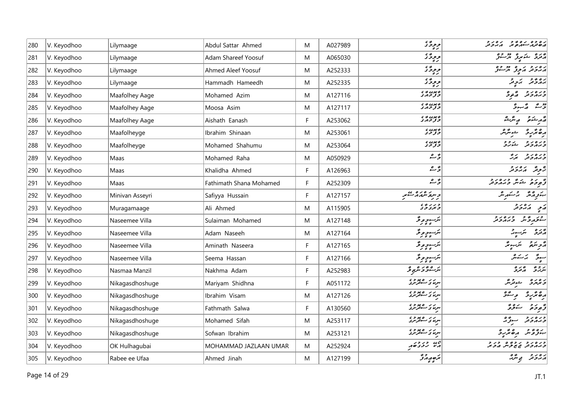| 280 | V. Keyodhoo | Lilymaage       | Abdul Sattar Ahmed         | M           | A027989 | و و د ؟<br>  ر و                                | גם כם גם כב הגם גב<br>הם <i>נה – יהפיג</i> הגבת  |
|-----|-------------|-----------------|----------------------------|-------------|---------|-------------------------------------------------|--------------------------------------------------|
| 281 | V. Keyodhoo | Lilymaage       | <b>Adam Shareef Yoosuf</b> | M           | A065030 | ووڈء                                            | وره شهرو « ده<br>درد شهرو «سنو                   |
| 282 | V. Keyodhoo | Lilymaage       | Ahmed Aleef Yoosuf         | M           | A252333 | و و د ؟<br>  ر و                                | נים בין בין פי פי<br>ג' ביט, ג' פיצי היו בין     |
| 283 | V. Keyodhoo | Lilymaage       | Hammadh Hameedh            | M           | A252335 | ووڈ ء<br>ر                                      | رە دو.<br>بەردىر بەدىر                           |
| 284 | V. Keyodhoo | Maafolhey Aage  | Mohamed Azim               | M           | A127116 | ه مور، د ،<br><mark>5 ژ</mark> ژمر              | ورەر د د                                         |
| 285 | V. Keyodhoo | Maafolhey Aage  | Moosa Asim                 | M           | A127117 | ه مورد و ،<br><mark>5 ت</mark> وعرا <i>ز</i> ک  | رح پڻ جو                                         |
| 286 | V. Keyodhoo | Maafolhey Aage  | Aishath Eanash             | F           | A253062 | ه برد، د ،<br>تر تو پر د                        | وكركو ويركث                                      |
| 287 | V. Keyodhoo | Maafolheyge     | Ibrahim Shinaan            | M           | A253061 | ەيدى ،<br>تركرىر                                | رەنزىر ئىسترىش                                   |
| 288 | V. Keyodhoo | Maafolheyge     | Mohamed Shahumu            | M           | A253064 | ەيدى ،<br>5 تۇ ئى ي                             | ورەر د دوو                                       |
| 289 | V. Keyodhoo | Maas            | Mohamed Raha               | M           | A050929 | ۇ شە                                            | ورەرو رو                                         |
| 290 | V. Keyodhoo | Maas            | Khalidha Ahmed             | F           | A126963 | ۇ شە                                            | أرَّحِيَّرَ الأبرونر                             |
| 291 | V. Keyodhoo | Maas            | Fathimath Shana Mohamed    | $\mathsf F$ | A252309 | ۇ شە                                            | وٌ و د و دره د و در د                            |
| 292 | V. Keyodhoo | Minivan Asseyri | Safiyya Hussain            | F           | A127157 | حەسى ھەرەر مەسىر<br>مەسىر ھەرەر مىسىر           | سكوماه المركبات                                  |
| 293 | V. Keyodhoo | Muragamaage     | Ali Ahmed                  | M           | A115905 | و ر ر » »<br>تر بور و ی                         | ړې د پرورو                                       |
| 294 | V. Keyodhoo | Naseemee Villa  | Sulaiman Mohamed           | M           | A127148 | ىئرسوچە بۇ گە                                   | ويحمد والملاحدة                                  |
| 295 | V. Keyodhoo | Naseemee Villa  | Adam Naseeh                | M           | A127164 | ىئرسوچە بۇ                                      | أرمزده لترسير                                    |
| 296 | V. Keyodhoo | Naseemee Villa  | Aminath Naseera            | F           | A127165 | ىئەسىز <sub>ىر ب</sub> ۇ                        | وحريتكم الترسونتر                                |
| 297 | V. Keyodhoo | Naseemee Villa  | Seema Hassan               | F           | A127166 |                                                 | سوگە ئەسكىر                                      |
| 298 | V. Keyodhoo | Nasmaa Manzil   | Nakhma Adam                | $\mathsf F$ | A252983 | ىر <u>مۇم ئ</u> ور قى                           | سرژی<br>پەر ە<br>مەنىرى                          |
| 299 | V. Keyodhoo | Nikagasdhoshuge | Mariyam Shidhna            | F           | A051172 | سربر کر صدو دی<br>سربر کی مسئولاتری             | رەرە شەترىگر<br><i>دىترىر</i> ۇ شەت <i>ر</i> ىگر |
| 300 | V. Keyodhoo | Nikagasdhoshuge | Ibrahim Visam              | M           | A127126 | سربر کر دے دے<br>سربری سنگورس                   | رەنزىر وشر                                       |
| 301 | V. Keyodhoo | Nikagasdhoshuge | Fathmath Salwa             | F           | A130560 | سربر کر صدو دی<br>سربر کی مسکوٹرمر <sub>ک</sub> | تورد رەپر                                        |
| 302 | V. Keyodhoo | Nikagasdhoshuge | Mohamed Sifah              | M           | A253117 | سریز کر دے دے<br>سریزی سنفرس                    | و ر ه ر و<br>د بر پر تر<br>سىدۇ بر               |
| 303 | V. Keyodhoo | Nikagasdhoshuge | Sofwan Ibrahim             | M           | A253121 | ر ر ر ه پو د د<br>سردن کنستوسری                 | ينووس مەمرىرو                                    |
| 304 | V. Keyodhoo | OK Hulhagubai   | MOHAMMAD JAZLAAN UMAR      | M           | A252924 | $10355 - 40$                                    | כנסג כ-ג כשים- כג כ<br>בהמכת- בישיבית- מכית      |
| 305 | V. Keyodhoo | Rabee ee Ufaa   | Ahmed Jinah                | M           | A127199 | لترجو مروح                                      | رەر دېگر                                         |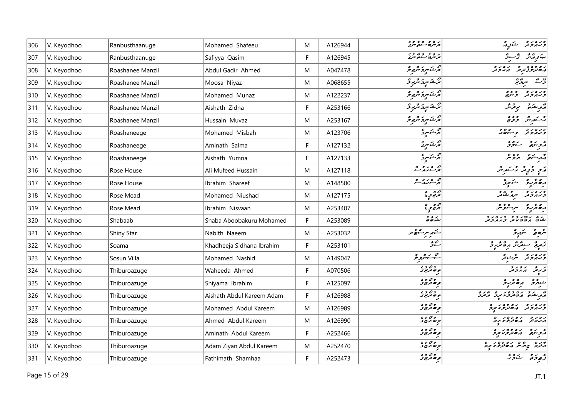| 306 | V. Keyodhoo | Ranbusthaanuge   | Mohamed Shafeeu           | M | A126944 | بر ۵ و ۵ و ۵ و ۷<br>مرس                      | و بر ه بر و<br>تر برگر تر<br>ڪُورِ ۾            |
|-----|-------------|------------------|---------------------------|---|---------|----------------------------------------------|-------------------------------------------------|
| 307 | V. Keyodhoo | Ranbusthaanuge   | Safiyya Qasim             | F | A126945 | بر ۵ و ۵ و <sup>و و</sup> ۶                  | سكروهر الأسبر                                   |
| 308 | V. Keyodhoo | Roashanee Manzil | Abdul Gadir Ahmed         | M | A047478 | ر<br>ئىرىشە <sub>س</sub> ېرىكە ئىرىگر        | גפרפריניג ג'יניב                                |
| 309 | V. Keyodhoo | Roashanee Manzil | Moosa Niyaz               | M | A068655 | ترىشە يېرى تىرى ۋ                            | وز شهر پره<br>د سرگ                             |
| 310 | V. Keyodhoo | Roashanee Manzil | Mohamed Munaz             | M | A122237 | ئرىشە <sub>مو</sub> ىخ م <sup>ى</sup> رىجە ق | ورەر د دەھ<br>دىرمەتر دىترى                     |
| 311 | V. Keyodhoo | Roashanee Manzil | Aishath Zidna             | F | A253166 | ترىشە يېرى تىرىپو ئى                         | ۇرمىشكە ئىقرىتر                                 |
| 312 | V. Keyodhoo | Roashanee Manzil | Hussain Muvaz             | M | A253167 | ئرىشە <sub>س</sub> رىز تىرى <sub>م</sub> ئى  | جر شهر شهر المحتفظ ج                            |
| 313 | V. Keyodhoo | Roashaneege      | Mohamed Misbah            | M | A123706 | ترىشەسرىگە                                   | כנסנכ כהיסי.<br>כממכנג כהיסמ                    |
| 314 | V. Keyodhoo | Roashaneege      | Aminath Salma             | F | A127132 | ترڪسري                                       | سترونج<br>ۇ جە ئىدۇ                             |
| 315 | V. Keyodhoo | Roashaneege      | Aishath Yumna             | F | A127133 | ە<br>ئىرىشەس <sub>ىي</sub> ر                 | و دره ده ور                                     |
| 316 | V. Keyodhoo | Rose House       | Ali Mufeed Hussain        | M | A127118 | ە يەر دەپ                                    | ړې د ړه پر شهر شر                               |
| 317 | V. Keyodhoo | Rose House       | Ibrahim Shareef           | M | A148500 | ە يەر دەپ                                    | ره پر ره<br>ره ټر ره<br>شقە بىرى                |
| 318 | V. Keyodhoo | Rose Mead        | Mohamed Niushad           | M | A127175 | ە ھ<br>ئىرىج ج                               | כנסנים ייתר ביב                                 |
| 319 | V. Keyodhoo | Rose Mead        | Ibrahim Nisvaan           | M | A253407 | 0 ء ۾ ج<br>مربح ح <sub>ي</sub> ء             | رەتۇر ئىرسىۋىر                                  |
| 320 | V. Keyodhoo | Shabaab          | Shaba Aboobakuru Mohamed  | F | A253089 | شۇھ                                          | ر ده رددر د در در در<br>شرخ مان موسیق در ماند   |
| 321 | V. Keyodhoo | Shiny Star       | Nabith Naeem              | M | A253032 | ىشەر سرىشقۇ بىر<br>————————————————————      | شەم سەرد                                        |
| 322 | V. Keyodhoo | Soama            | Khadheeja Sidhana Ibrahim | F | A253101 | مشوشح                                        | زَمِرِیَجُ –مِتَرُسَّر مِرْہ مُرے               |
| 323 | V. Keyodhoo | Sosun Villa      | Mohamed Nashid            | M | A149047 | ج ئەنگە <u>بۇ ئ</u> ە                        | ورەر د شەر<br><i>دىد</i> ەر تەشەھ               |
| 324 | V. Keyodhoo | Thiburoazuge     | Waheeda Ahmed             | F | A070506 |                                              | ار په کېږي کې د کارونکر کې د کل                 |
| 325 | V. Keyodhoo | Thiburoazuge     | Shiyama Ibrahim           | F | A125097 | <br>  موضوع د                                | ەر ھەترىر 3<br>رەھ تىرىر 3<br>شەدگر             |
| 326 | V. Keyodhoo | Thiburoazuge     | Aishath Abdul Kareem Adam | F | A126988 |                                              |                                                 |
| 327 | V. Keyodhoo | Thiburoazuge     | Mohamed Abdul Kareem      | M | A126989 | د ۵ و ۷<br>مو <b>ن</b> مربح ک                |                                                 |
| 328 | V. Keyodhoo | Thiburoazuge     | Ahmed Abdul Kareem        | M | A126990 |                                              | גם גב גם כבי גם<br>גגבה גם הקיבט <sub>א</sub> ב |
| 329 | V. Keyodhoo | Thiburoazuge     | Aminath Abdul Kareem      | F | A252466 | 5500                                         | ה כ הם הסיניב הב                                |
| 330 | V. Keyodhoo | Thiburoazuge     | Adam Ziyan Abdul Kareem   | M | A252470 | 55000                                        | בנס <sub>מ</sub> ואיל נספט <sub>מ</sub> פ       |
| 331 | V. Keyodhoo | Thiburoazuge     | Fathimath Shamhaa         | F | A252473 | $rac{1}{5500}$                               | أقرم وحرمته والمحافظ                            |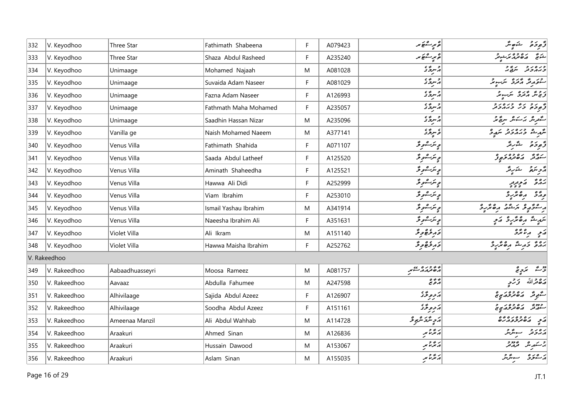| 332 | V. Keyodhoo  | Three Star      | Fathimath Shabeena    | F           | A079423 | ە ئېرىشى ئىر<br>م                         | و و د و سنوره سر<br>و و د و و سنوره سر<br>سنوی دره دره برسیدگر |
|-----|--------------|-----------------|-----------------------|-------------|---------|-------------------------------------------|----------------------------------------------------------------|
| 333 | V. Keyodhoo  | Three Star      | Shaza Abdul Rasheed   | F           | A235240 | <sub>ھی مو</sub> رے <sub>کا</sub> بر      |                                                                |
| 334 | V. Keyodhoo  | Unimaage        | Mohamed Najaah        | M           | A081028 | د سرچ پر<br>مرسرچ پر                      | ورەرو روو                                                      |
| 335 | V. Keyodhoo  | Unimaage        | Suvaida Adam Naseer   | F           | A081029 | وحسره ي                                   | رور مدیر محمده است استخرار                                     |
| 336 | V. Keyodhoo  | Unimaage        | Fazna Adam Naseer     | $\mathsf F$ | A126993 | د سرچ د                                   | ترج مگر مرکزی مرکب می                                          |
| 337 | V. Keyodhoo  | Unimaage        | Fathmath Maha Mohamed | F           | A235057 | ۾ سرچ <sub>ي</sub>                        | و دو رو دره دو                                                 |
| 338 | V. Keyodhoo  | Unimaage        | Saadhin Hassan Nizar  | M           | A235096 | د<br>مسرچۍ                                | گورنگر برکسکر سرچ بر                                           |
| 339 | V. Keyodhoo  | Vanilla ge      | Naish Mohamed Naeem   | ${\sf M}$   | A377141 | ،<br>ئەسرىۋى                              | شر و درور در سمده                                              |
| 340 | V. Keyodhoo  | Venus Villa     | Fathimath Shahida     | F           | A071107 | م <sub>وسك</sub> ر سفر عر                 | و و د هم شرقه                                                  |
| 341 | V. Keyodhoo  | Venus Villa     | Saada Abdul Latheef   | F           | A125520 | <sub>حي</sub> سَرَ ش <sub>مو</sub> مَحْ   | ر دور ده ده در در د                                            |
| 342 | V. Keyodhoo  | Venus Villa     | Aminath Shaheedha     | F           | A125521 | <sub>جە</sub> بىئرىش <sub>ى</sub> جەڭر    | أترجر متكر المتكر وتكر                                         |
| 343 | V. Keyodhoo  | Venus Villa     | Hawwa Ali Didi        | F           | A252999 | <sub>جە</sub> بىئە سىرىتىمى<br> -         | ره د ودرد<br>ارده د ودرد                                       |
| 344 | V. Keyodhoo  | Venus Villa     | Viam Ibrahim          | F           | A253010 | ە ئىر شەھ ئۇ                              | رەپرى <sub>رى</sub><br>جەڭر                                    |
| 345 | V. Keyodhoo  | Venus Villa     | Ismail Yashau Ibrahim | ${\sf M}$   | A341914 | ە بەر ش <sub>ەھ</sub> رۇ                  |                                                                |
| 346 | V. Keyodhoo  | Venus Villa     | Naeesha Ibrahim Ali   | F           | A351631 | <sub>عو</sub> مئر ش <sub>وع</sub> وً      | سَمِيشَ مِـ صَحَّرِ - صَحِي                                    |
| 347 | V. Keyodhoo  | Violet Villa    | Ali Ikram             | ${\sf M}$   | A151140 | ا ئەر ئۇھ <sub>ى ب</sub> ۇ                | $rac{1}{2}$                                                    |
| 348 | V. Keyodhoo  | Violet Villa    | Hawwa Maisha Ibrahim  | F.          | A252762 | ئەرى <i>ۋە دې</i> گە                      | גום בגיב גם בקב                                                |
|     | V. Rakeedhoo |                 |                       |             |         |                                           |                                                                |
| 349 | V. Rakeedhoo | Aabaadhuasseyri | Moosa Rameez          | ${\sf M}$   | A081757 | ۶۶۶ و ره ۵۷<br>مان محمد در ک              | ژمسهٔ پر پر پ                                                  |
| 350 | V. Rakeedhoo | Aavaaz          | Abdulla Fahumee       | M           | A247598 | ره ه ه<br>در ه م                          | بره والله تررمي                                                |
| 351 | V. Rakeedhoo | Alhivilaage     | Sajida Abdul Azeez    | $\mathsf F$ | A126907 | بر د و د د .<br>مرد و د د                 | ره وه در ه<br>پره ترڅه یې ی<br>ستھوتر                          |
| 352 | V. Rakeedhoo | Alhivilaage     | Soodha Abdul Azeez    | F           | A151161 | پر در دی<br>پر در دی                      | כחבי גם כם גב<br>המהבת השבת בה ב                               |
| 353 | V. Rakeedhoo | Ameenaa Manzil  | Ali Abdul Wahhab      | ${\sf M}$   | A114728 | ر <sub>َح</sub> پرَ دَ بر <sub>ي</sub> وَ | 02010701<br>CARACTER                                           |
| 354 | V. Rakeedhoo | Araakuri        | Ahmed Sinan           | ${\sf M}$   | A126836 | لرودير                                    | ەرە سەئۇنىڭ                                                    |
| 355 | V. Rakeedhoo | Araakuri        | Hussain Dawood        | M           | A153067 | لرودير                                    |                                                                |
| 356 | V. Rakeedhoo | Araakuri        | Aslam Sinan           | M           | A155035 | لرعزة                                     | ر 200 سىرتىر                                                   |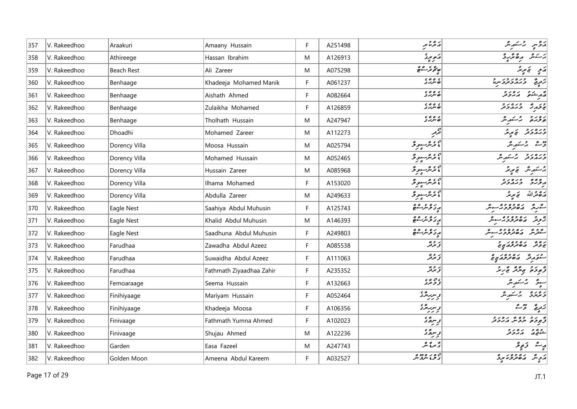| 357 | V. Rakeedhoo | Araakuri          | Amaany Hussain           | F           | A251498 | لرمجرة مبر                                             | ړ وگر پر شوه شر شر<br>مخ                         |
|-----|--------------|-------------------|--------------------------|-------------|---------|--------------------------------------------------------|--------------------------------------------------|
| 358 | V. Rakeedhoo | Athireege         | Hassan Ibrahim           | M           | A126913 | ړ<br>مرموسونه                                          |                                                  |
| 359 | V. Rakeedhoo | <b>Beach Rest</b> | Ali Zareer               | M           | A075298 | ەم كىرىك ھ                                             |                                                  |
| 360 | V. Rakeedhoo | Benhaage          | Khadeeja Mohamed Manik   | F           | A061237 | ې ۵ پرې<br>خ <i>ه مرگ</i> <sub>ک</sub>                 | .<br>לעש כגורכנקליטי                             |
| 361 | V. Rakeedhoo | Benhaage          | Aishath Ahmed            | F           | A082664 | ې ۵ پرې<br>ح <i>ه مربر</i> <sub>ک</sub>                | د د ده ده د د د                                  |
| 362 | V. Rakeedhoo | Benhaage          | Zulaikha Mohamed         | F           | A126859 |                                                        | يحور ورودو                                       |
| 363 | V. Rakeedhoo | Benhaage          | Tholhath Hussain         | M           | A247947 |                                                        | رەرد جەكتەر ش                                    |
| 364 | V. Rakeedhoo | Dhoadhi           | Mohamed Zareer           | M           | A112273 | تحرمر                                                  | כנים בי התיי                                     |
| 365 | V. Rakeedhoo | Dorency Villa     | Moosa Hussain            | M           | A025794 | م<br>كې ئەشرىسوم <b>ى</b> ر                            | دوسته برستهر مر                                  |
| 366 | V. Rakeedhoo | Dorency Villa     | Mohamed Hussain          | M           | A052465 | م مگر شروع<br>مسیح                                     | وره رو و مهرش                                    |
| 367 | V. Rakeedhoo | Dorency Villa     | Hussain Zareer           | M           | A085968 | م دي آهي شوه محمد<br>مستقبل محمد                       | برسكور كالمجامية                                 |
| 368 | V. Rakeedhoo | Dorency Villa     | Ilhama Mohamed           | F           | A153020 | م<br>كې مر شرور ده ځ                                   | و ره ر د<br><i>د ب</i> رگرفر<br>ەردىرى           |
| 369 | V. Rakeedhoo | Dorency Villa     | Abdulla Zareer           | M           | A249633 | ە بەيدىن <sub>موق</sub> ى<br>ئابرىل <sub>رىسو</sub> رى | پره قرالله تج سر تر                              |
| 370 | V. Rakeedhoo | Eagle Nest        | Saahiya Abdul Muhusin    | $\mathsf F$ | A125743 | پروپر ص <u>ف</u> ع                                     | ر در ده ده ده ده .<br>سرمر ده ترود بر در         |
| 371 | V. Rakeedhoo | Eagle Nest        | Khalid Abdul Muhusin     | M           | A146393 | وكالحاشر فاقفح                                         | و ده ده وه وه می<br>زوند م <i>ه فرود ب</i> ر سوش |
| 372 | V. Rakeedhoo | Eagle Nest        | Saadhuna Abdul Muhusin   | F           | A249803 | پروپر صفح                                              | د در ده ده ده ده سورگر<br>سورگر در محمد در در    |
| 373 | V. Rakeedhoo | Farudhaa          | Zawadha Abdul Azeez      | F.          | A085538 | ر و پژ                                                 | ر و ده وه در د                                   |
| 374 | V. Rakeedhoo | Farudhaa          | Suwaidha Abdul Azeez     | F           | A111063 | ر و بر<br>تر برتر                                      | مورش مەدەمە                                      |
| 375 | V. Rakeedhoo | Farudhaa          | Fathmath Ziyaadhaa Zahir | F           | A235352 | ىر جەنگە<br>تو بىرتىر                                  | توجوخو بالمنتز لمجربته                           |
| 376 | V. Rakeedhoo | Femoaraage        | Seema Hussain            | $\mathsf F$ | A132663 | ړ <i>۵ و</i> ړ<br>و <del>ر</del> بر ړ                  | سوۋە ئەسكىرىش                                    |
| 377 | V. Rakeedhoo | Finihiyaage       | Mariyam Hussain          | $\mathsf F$ | A052464 | او مىرىدى<br>سىرىدى                                    | دەرە جەمئىر                                      |
| 378 | V. Rakeedhoo | Finihiyaage       | Khadeeja Moosa           | F           | A106356 | و سربر پژی<br>تر بر برگ                                | أرَسٍ فَمَرْ رَبِّسُ الْمُرْسَمَّةِ              |
| 379 | V. Rakeedhoo | Finivaage         | Fathmath Yumna Ahmed     | F           | A102023 | و سرچ ی<br>تر سرچ ت                                    | و دو وه ده ده دو                                 |
| 380 | V. Rakeedhoo | Finivaage         | Shujau Ahmed             | M           | A122236 | وسرچء<br>تر                                            | روپور بره بر د<br>شونع پر برگرفتر                |
| 381 | V. Rakeedhoo | Garden            | Easa Fazeel              | M           | A247743 | ۇ بىر يۇ بىر                                           | پەشقا كەنبەقى                                    |
| 382 | V. Rakeedhoo | Golden Moon       | Ameena Abdul Kareem      | F           | A032527 | ہ و ر ودد و<br>تح <b>ی ت</b> سرچ س                     | ړ په ده ده د و                                   |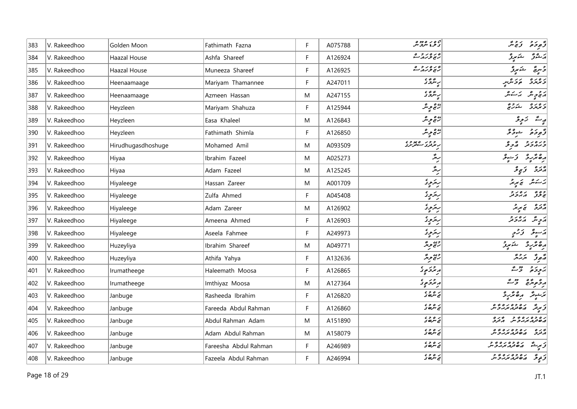| 383 | V. Rakeedhoo | Golden Moon         | Fathimath Fazna       | F  | A075788 | ہ ور ودد و<br>تح <b>ری</b> سرچ س     | توجوخوا تونا                                                           |
|-----|--------------|---------------------|-----------------------|----|---------|--------------------------------------|------------------------------------------------------------------------|
| 384 | V. Rakeedhoo | <b>Haazal House</b> | Ashfa Shareef         | F. | A126924 | پەر ەر جەم<br><i>رىنج بۇر</i> ئە     | ىرشۇتى<br>شەمرۇ                                                        |
| 385 | V. Rakeedhoo | Haazal House        | Muneeza Shareef       | F. | A126925 | پەر ەر جەم<br><i>رىنج بۇر</i> ئە     | د مېږينځ<br>تو<br>ے کیمیوٹر<br>من                                      |
| 386 | V. Rakeedhoo | Heenaamaage         | Mariyam Thamannee     | F. | A247011 | ر پوځ په<br>برنتړن ت                 | ر ه ر ه<br><del>ر</del> بربرگ<br>ىر ئەھرىبر                            |
| 387 | V. Rakeedhoo | Heenaamaage         | Azmeen Hassan         | M  | A247155 | ر پژو <sup>ي</sup>                   | برسەچر<br>ېر چ <sub>ې ت</sub> ر<br>موج                                 |
| 388 | V. Rakeedhoo | Heyzleen            | Mariyam Shahuza       | F  | A125944 | ر، ج <sub>مح</sub> بشر               | ر ه بر ه<br><del>د</del> بربر د<br>ے تر تج                             |
| 389 | V. Rakeedhoo | Heyzleen            | Easa Khaleel          | M  | A126843 | رمج محب محر                          | ړ شه د د په د                                                          |
| 390 | V. Rakeedhoo | Heyzleen            | Fathimath Shimla      | F. | A126850 | يەھ بېرىتر.<br>س                     | أوُّبُوحَ مَّ شَوَحَ حَ                                                |
| 391 | V. Rakeedhoo | Hirudhugasdhoshuge  | Mohamed Amil          | M  | A093509 | ر و و ر _ە يو و ،<br>ر بوتوى سىقوموى | و ر ه ر د<br><i>و پر</i> پر تر<br>رژ د ژ                               |
| 392 | V. Rakeedhoo | Hiyaa               | Ibrahim Fazeel        | M  | A025273 | ىرىتر                                | ەرھەترىر <sup>ى</sup><br>تزىنبەتھ                                      |
| 393 | V. Rakeedhoo | Hiyaa               | Adam Fazeel           | M  | A125245 | رپڙ                                  | په ره<br>د ترو<br>تزىچە                                                |
| 394 | V. Rakeedhoo | Hiyaleege           | Hassan Zareer         | M  | A001709 | رېزېږ <sup>ي</sup><br>م              | برست پرېژ                                                              |
| 395 | V. Rakeedhoo | Hiyaleege           | Zulfa Ahmed           | F  | A045408 | رېزىپە <sup>ي</sup>                  | وه د درو<br>بحنوتی مدرومر                                              |
| 396 | V. Rakeedhoo | Hiyaleege           | Adam Zareer           | M  | A126902 | رېزېږ <sup>ي</sup>                   | أرتمر وسيمج سيرمر                                                      |
| 397 | V. Rakeedhoo | Hiyaleege           | Ameena Ahmed          | F  | A126903 | رېزىپە <sup>ي</sup>                  | ړَ پر ډر در                                                            |
| 398 | V. Rakeedhoo | Hiyaleege           | Aseela Fahmee         | F. | A249973 | رېزېږ <sup>ي</sup>                   | ەكەسپەنى كەرمىي                                                        |
| 399 | V. Rakeedhoo | Huzeyliya           | Ibrahim Shareef       | M  | A049771 | د در<br>رسم مودگر                    | دە ئەرد<br>شەمرىر                                                      |
| 400 | V. Rakeedhoo | Huzeyliya           | Athifa Yahya          | F  | A132636 | دی <sub>نا م</sub> حر پژ             | ومجوقر<br>بر و پر                                                      |
| 401 | V. Rakeedhoo | Irumatheege         | Haleemath Moosa       | F. | A126865 | ېر پر دې د<br>ر                      | دومع<br>برَجِرة هُ                                                     |
| 402 | V. Rakeedhoo | Irumatheege         | Imthiyaz Moosa        | M  | A127364 | ېر بر دې<br>بر بر دې                 | ه د څو پر ځ<br>مر<br>دو مح                                             |
| 403 | V. Rakeedhoo | Janbuge             | Rasheeda Ibrahim      | F  | A126820 | ر ه د ء<br>قع سر <i>ه د</i>          | ەرھ ئ <sup>ۆ</sup> ر ۋ<br>ىر<br>مۇسىيەتىر                              |
| 404 | V. Rakeedhoo | Janbuge             | Fareeda Abdul Rahman  | F  | A126860 | ر 2 مرد ء<br>قع سر <i>ھ ي</i>        | ر ه وه ر ه د ه<br>پره تربر <i>برب</i> رو س<br>وً برِدَّر               |
| 405 | V. Rakeedhoo | Janbuge             | Abdul Rahman Adam     | M  | A151890 | ر ۵ ۶ ء<br>قع سر <i>ھ ی</i>          | ر ه و ه ر ه ر و و<br>پرې تر پر بر تر سر                                |
| 406 | V. Rakeedhoo | Janbuge             | Adam Abdul Rahman     | M  | A158079 | ر ۵ ۶ ء<br>قع سر <i>ھ ی</i>          | ر ه وه ر ه د ه<br>پره تربر تر تر<br>یور ہ<br>درگر                      |
| 407 | V. Rakeedhoo | Janbuge             | Fareesha Abdul Rahman | F  | A246989 | ر د د د<br>تع سرچ د                  | ر ه و ه ر ه د و<br>پره تربر <del>ت</del> ربر<br>ا توسيستگ              |
| 408 | V. Rakeedhoo | Janbuge             | Fazeela Abdul Rahman  | F  | A246994 | ر ه و ء<br>ق سرچ <sub>ک</sub>        | ر ده ده ده ده د <del>د د</del><br>تر <i>خی د ه</i> ه <i>در مرد د</i> س |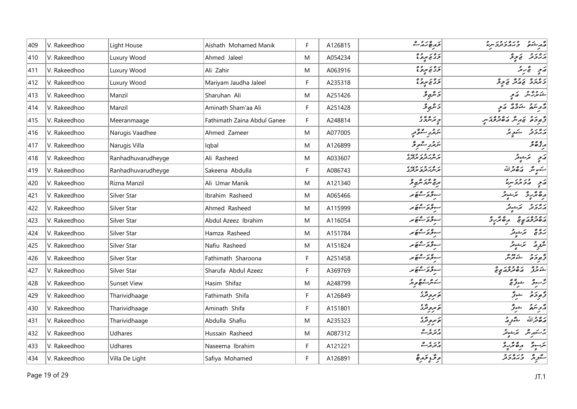| 409 | V. Rakeedhoo | Light House        | Aishath Mohamed Manik       | F         | A126815 | تزرع ئەزم                                 | و مشور ورور ور مرد                           |
|-----|--------------|--------------------|-----------------------------|-----------|---------|-------------------------------------------|----------------------------------------------|
| 410 | V. Rakeedhoo | Luxury Wood        | Ahmed Jaleel                | M         | A054234 | ر ەر<br>ئۆرىنى مېرى                       | برەرد يەرو                                   |
| 411 | V. Rakeedhoo | Luxury Wood        | Ali Zahir                   | M         | A063916 | تره بر سرح و                              | أەسمجە سىم سىرتىر                            |
| 412 | V. Rakeedhoo | Luxury Wood        | Mariyam Jaudha Jaleel       | F         | A235318 | پره پر پرو ه<br>  ټرنو ټولونکو            | גם גם גבוב הבית                              |
| 413 | V. Rakeedhoo | Manzil             | Sharuhan Ali                | ${\sf M}$ | A251426 | ئەشىر ۋ                                   | شەرژىتر كەير                                 |
| 414 | V. Rakeedhoo | Manzil             | Aminath Sham'aa Ali         | F         | A251428 | ئەش <sub>ىپ</sub> بۇ                      | أأد سرة الشره والمحمد ورامج                  |
| 415 | V. Rakeedhoo | Meeranmaage        | Fathimath Zaina Abdul Ganee | F         | A248814 | ا <sub>حە</sub> ئىر شرىرى<br>ئ            | و د د د برگ ره دورس<br>د وده نم د که هامر در |
| 416 | V. Rakeedhoo | Narugis Vaadhee    | Ahmed Zameer                | M         | A077005 | ىئر <i>پرېم</i> كەنتى كېيە<br>مەسرىس كىيە | رەرو شوپر                                    |
| 417 | V. Rakeedhoo | Narugis Villa      | lqbal                       | ${\sf M}$ | A126899 | ىئرى <sup>تى</sup> رىشوقە                 | بە ۋە ئو                                     |
| 418 | V. Rakeedhoo | Ranhadhuvarudheyge | Ali Rasheed                 | M         | A033607 | ر ہ ر د ر دے ،<br>برس ژمرو برمرد          | أركمني المركب وتر                            |
| 419 | V. Rakeedhoo | Ranhadhuvarudheyge | Sakeena Abdulla             | F         | A086743 | ر ٥ ر ۶ ر ۶ ده ٤<br>برس رترو برتری        | سَمَّد سَرَّ صَدَّاللَّه                     |
| 420 | V. Rakeedhoo | Rizna Manzil       | Ali Umar Manik              | M         | A121340 | ىر چىر ئەر شىر بۇ                         | ה בנבנית                                     |
| 421 | V. Rakeedhoo | Silver Star        | Ibrahim Rasheed             | M         | A065466 | سوفرة شقع                                 | ەرھەترىر <sup>ى</sup><br>ىمەسىيە قىر         |
| 422 | V. Rakeedhoo | Silver Star        | Ahmed Rasheed               | ${\sf M}$ | A115999 | –دى <i>ۋە ش</i> ۇھ بىر                    | ره رو بر<br>درونر برشونر                     |
| 423 | V. Rakeedhoo | Silver Star        | Abdul Azeez Ibrahim         | ${\sf M}$ | A116054 | - دې شوېچ پر                              | גפננק פ גפתק                                 |
| 424 | V. Rakeedhoo | Silver Star        | Hamza Rasheed               | M         | A151784 | پە ئۈر ئەرەپ <sub>ىر</sub>                | برەمج ئېزىشونگر                              |
| 425 | V. Rakeedhoo | Silver Star        | Nafiu Rasheed               | ${\sf M}$ | A151824 | - د <i>څو د ش</i> هیر                     | شَرورْ - سَرَڪونَرُ                          |
| 426 | V. Rakeedhoo | Silver Star        | Fathimath Sharoona          | F         | A251458 | - د <i>څو د ش</i> هیر                     | شە چرىتر<br>و مر د<br>تر موحر می             |
| 427 | V. Rakeedhoo | Silver Star        | Sharufa Abdul Azeez         | F         | A369769 | ە ئەر قىيە<br>سىر ئۇ ئەسىر                | ر د د و د<br>ر ه و و ر<br>پرځ تر پر دې       |
| 428 | V. Rakeedhoo | <b>Sunset View</b> | Hasim Shifaz                | ${\sf M}$ | A248799 | يە ئەھمەد                                 | رًّ سبزة<br>ے وگر ح                          |
| 429 | V. Rakeedhoo | Tharividhaage      | Fathimath Shifa             | F         | A126849 | اء مرو ٿري<br><u>ڪ</u>                    | وٌجوحه<br>شەۋ                                |
| 430 | V. Rakeedhoo | Tharividhaage      | Aminath Shifa               | F         | A151801 | اپر ہو تری<br>ان <i>تخ موج</i> د تری      | أأرمز<br>شدوگر                               |
| 431 | V. Rakeedhoo | Tharividhaage      | Abdulla Shafiu              | M         | A235323 | <br> ه مره ترد<br> ----                   | ەھىراللە<br>ستگور                            |
| 432 | V. Rakeedhoo | Udhares            | Hussain Rasheed             | ${\sf M}$ | A087312 | د ر ، م<br>مرتد بر م                      | چرىكىرىكى ئىركىيەتى                          |
| 433 | V. Rakeedhoo | <b>Udhares</b>     | Naseema Ibrahim             | F         | A121221 | د ر بر م<br>مرمر سه                       | برە ئۆرۈ<br>ىئەسىدۇ                          |
| 434 | V. Rakeedhoo | Villa De Light     | Safiya Mohamed              | F         | A126891 | <i>و ڏ</i> َ ۽ِ حَرم هُو                  | و ر ه ر د<br>تر پر پر تر<br>سُّورٍ پُرُ      |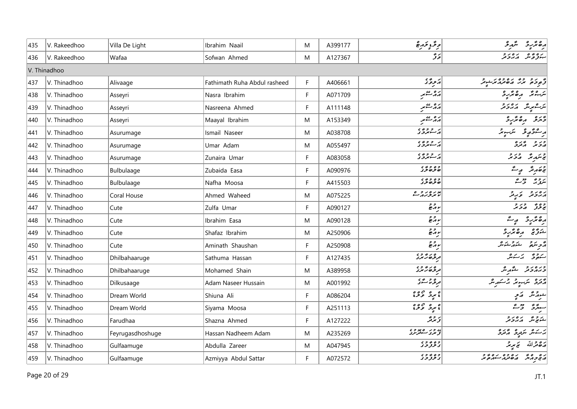| 435 | V. Rakeedhoo | Villa De Light   | Ibrahim Naail                | M         | A399177 | وقربوقره                                                                                                        | ەھترىرى شرىرى<br>رەمزىرى شرىرى    |
|-----|--------------|------------------|------------------------------|-----------|---------|-----------------------------------------------------------------------------------------------------------------|-----------------------------------|
| 436 | V. Rakeedhoo | Wafaa            | Sofwan Ahmed                 | M         | A127367 | ءً وَ                                                                                                           | بەدە بەرد                         |
|     | V. Thinadhoo |                  |                              |           |         |                                                                                                                 |                                   |
| 437 | V. Thinadhoo | Alivaage         | Fathimath Ruha Abdul rasheed | F         | A406661 | روپر                                                                                                            | و د د ده ده ده د د د              |
| 438 | V. Thinadhoo | Asseyri          | Nasra Ibrahim                | F.        | A071709 | لرەپىر                                                                                                          |                                   |
| 439 | V. Thinadhoo | Asseyri          | Nasreena Ahmed               | F         | A111148 | لره يهمر                                                                                                        | رە يېرىش مەدرە<br>سرىسىرىش مەدرەر |
| 440 | V. Thinadhoo | Asseyri          | Maayal Ibrahim               | M         | A153349 | لروييمر                                                                                                         | ديرو مقتربرو                      |
| 441 | V. Thinadhoo | Asurumage        | Ismail Naseer                | M         | A038708 | ر په ده ده ،<br>مرسونورۍ                                                                                        | أرسفو المحرور المترسور            |
| 442 | V. Thinadhoo | Asurumage        | Umar Adam                    | M         | A055497 | ر و و د »<br>پرستوری                                                                                            | ور و دره<br>در د مرکزو            |
| 443 | V. Thinadhoo | Asurumage        | Zunaira Umar                 | F.        | A083058 | ر و و د »<br>پرستوری                                                                                            | لتحسكر متحر المراجح               |
| 444 | V. Thinadhoo | Bulbulaage       | Zubaida Easa                 | F         | A090976 | د ه د د »<br>م <i>ه وه و</i> د                                                                                  |                                   |
| 445 | V. Thinadhoo | Bulbulaage       | Nafha Moosa                  | F.        | A415503 | د ه د د »<br>م <i>ه نوه نو</i> ر                                                                                | روم دور                           |
| 446 | V. Thinadhoo | Coral House      | Ahmed Waheed                 | M         | A075225 | پر رہ ر د م                                                                                                     | رەر دىر                           |
| 447 | V. Thinadhoo | Cute             | Zulfa Umar                   | F         | A090127 | برزء                                                                                                            | ده ده پر در د                     |
| 448 | V. Thinadhoo | Cute             | Ibrahim Easa                 | M         | A090128 | $\stackrel{\scriptscriptstyle 2}{\scriptscriptstyle 2}\stackrel{\scriptscriptstyle 2}{\scriptscriptstyle 2}\nu$ | رە ئۆرە بېرىش                     |
| 449 | V. Thinadhoo | Cute             | Shafaz Ibrahim               | M         | A250906 | برده                                                                                                            | شۇقى مەھمگەر                      |
| 450 | V. Thinadhoo | Cute             | Aminath Shaushan             | F         | A250908 | برژخ                                                                                                            | أمر جر المستخدم المستخدم المحر    |
| 451 | V. Thinadhoo | Dhilbahaaruge    | Sathuma Hassan               | F.        | A127435 | ه در ۶ و ۷<br>ترنژه رنگری                                                                                       | ستوفز برستانل                     |
| 452 | V. Thinadhoo | Dhilbahaaruge    | Mohamed Shain                | M         | A389958 | دره <i>۵ ژبر</i> ی                                                                                              | ورەرو شەرش                        |
| 453 | V. Thinadhoo | Dilkusaage       | Adam Naseer Hussain          | ${\sf M}$ | A001992 | دره و پر پ                                                                                                      | أروده الكربالي برائتكر مراهر      |
| 454 | V. Thinadhoo | Dream World      | Shiuna Ali                   | F         | A086204 | ه برد دو.<br>المبرد و د                                                                                         | شوړ شمېر کمکمو                    |
| 455 | V. Thinadhoo | Dream World      | Siyama Moosa                 | F         | A251113 | ه پرو <sub>گو</sub> وه<br>ډېرو گومرډ                                                                            | سوري ورم                          |
| 456 | V. Thinadhoo | Farudhaa         | Shazna Ahmed                 | F         | A127222 | ر و بر<br>تر برتر                                                                                               | سرو پره رو                        |
| 457 | V. Thinadhoo | Feyrugasdhoshuge | Hassan Nadheem Adam          | M         | A235269 |                                                                                                                 | يَرْسَمْ مَرْمَرِدْ الْمُعْرَدْ   |
| 458 | V. Thinadhoo | Gulfaamuge       | Abdulla Zareer               | M         | A047945 | وه پر و ،<br><b>ی</b> نژگو تر                                                                                   | يَرْهُ مَرْاللّهُ يَجْ سِيْتَمْهِ |
| 459 | V. Thinadhoo | Gulfaamuge       | Azmiyya Abdul Sattar         | F         | A072572 | د ه و و د<br>د <del>و</del> تو <del>و</del> د                                                                   | 220102020202020                   |
|     |              |                  |                              |           |         |                                                                                                                 |                                   |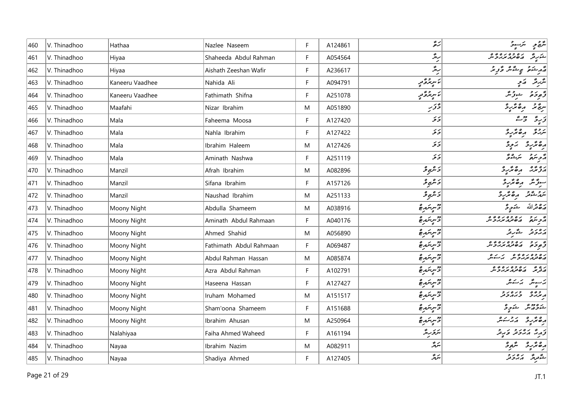| 460 | V. Thinadhoo | Hathaa          | Nazlee Naseem           | F         | A124861 | رپچ                            | مدَّج موسط مرکز کے مقدم مقدم <i>م</i>                                         |
|-----|--------------|-----------------|-------------------------|-----------|---------|--------------------------------|-------------------------------------------------------------------------------|
| 461 | V. Thinadhoo | Hiyaa           | Shaheeda Abdul Rahman   | F         | A054564 | رېژ                            | شرکتر ده ده ده ده ه<br>شرکتر ایر <i>ه تر پر بر بر</i> کس                      |
| 462 | V. Thinadhoo | Hiyaa           | Aishath Zeeshan Wafir   | F         | A236617 | رېژ                            | ۇرخۇ پېشىر ۋېر                                                                |
| 463 | V. Thinadhoo | Kaneeru Vaadhee | Nahida Ali              | F         | A094791 | <br>  پاسېږ گورې<br>  په په مخ | ب <i>رگردگر مکم</i>                                                           |
| 464 | V. Thinadhoo | Kaneeru Vaadhee | Fathimath Shifna        | F         | A251078 | <br> بەسرىر ئۇ ئېر             | ۇ بوخۇ<br>ڪوڙيڙ<br>پ                                                          |
| 465 | V. Thinadhoo | Maafahi         | Nizar Ibrahim           | M         | A051890 | 33پ                            | دە ئەرد<br>$\overline{\mathcal{Z}_{\mathcal{O}_{\mathcal{F}}^{\mathcal{P}}}}$ |
| 466 | V. Thinadhoo | Mala            | Faheema Moosa           | F         | A127420 | ۇت                             | دو مح<br>تر رِ پَّ                                                            |
| 467 | V. Thinadhoo | Mala            | Nahla Ibrahim           | F         | A127422 | ۇت                             | سرويځ<br>ە ھەترىرى                                                            |
| 468 | V. Thinadhoo | Mala            | Ibrahim Haleem          | ${\sf M}$ | A127426 | ۇت                             | ەرھەترىر <sup>ە</sup><br>برَجود                                               |
| 469 | V. Thinadhoo | Mala            | Aminath Nashwa          | F         | A251119 | ىرى                            | سرشوش<br>أرمز                                                                 |
| 470 | V. Thinadhoo | Manzil          | Afrah Ibrahim           | M         | A082896 | ئەشرىر بۇ                      | ر ه و ه<br>مرو برر<br>ەھ تررۈ                                                 |
| 471 | V. Thinadhoo | Manzil          | Sifana Ibrahim          | F         | A157126 | ځەشمېرىڅە                      | ەھ ترىر ۋ<br>اسىۋىتر                                                          |
| 472 | V. Thinadhoo | Manzil          | Naushad Ibrahim         | M         | A251133 | ئەشرىپ بۇ                      | ە ھەترىر ۋ<br>سر پر شہور                                                      |
| 473 | V. Thinadhoo | Moony Night     | Abdulla Shameem         | ${\sf M}$ | A038916 | وسربتررة                       | برہ تراللّٰہ<br>شكورة                                                         |
| 474 | V. Thinadhoo | Moony Night     | Aminath Abdul Rahmaan   | F         | A040176 | دو<br>ترسر سر مربع             | ره وه ره ده و.<br>پره تربر تر س<br>ړ د سره                                    |
| 475 | V. Thinadhoo | Moony Night     | Ahmed Shahid            | ${\sf M}$ | A056890 | ده سرسر مع<br>تر سرسر مع       | رەرو ئەرو                                                                     |
| 476 | V. Thinadhoo | Moony Night     | Fathimath Abdul Rahmaan | F         | A069487 | وسريئر وطح                     | ه د د ده ده ده ده و<br>ژبوده ماه ترم پرد س                                    |
| 477 | V. Thinadhoo | Moony Night     | Abdul Rahman Hassan     | M         | A085874 | ومريئر وع                      | ره وه بره د می در بر می<br>پره تر پر بر تر بر بر ک                            |
| 478 | V. Thinadhoo | Moony Night     | Azra Abdul Rahman       | F         | A102791 | وحسر يترمر هج                  | ره وه ره ده و.<br>پره تربر تر س<br>ر ہ<br>ہر فریمر                            |
| 479 | V. Thinadhoo | Moony Night     | Haseena Hassan          | F         | A127427 | وسريئرمو                       | برسەمىر<br>ئەسىسىتىر                                                          |
| 480 | V. Thinadhoo | Moony Night     | Iruham Mohamed          | M         | A151517 | وه سرسر مع<br>محسوب مربع       | وبرجرو<br>و ره ر و<br><i>و پر</i> و تر                                        |
| 481 | V. Thinadhoo | Moony Night     | Sham'oona Shameem       | F         | A151688 | ده سرسر مع<br>تر سر            | شەھ جەشر<br>ستكور                                                             |
| 482 | V. Thinadhoo | Moony Night     | Ibrahim Ahusan          | M         | A250964 | اق <sup>ە</sup> بىر يىرىم ھ    | ىرزىسە<br>ەر ھەتمەر 2<br>ب                                                    |
| 483 | V. Thinadhoo | Nalahiyaa       | Faiha Ahmed Waheed      | F         | A161194 | يتزبريثر                       | ت در په درو کرد                                                               |
| 484 | V. Thinadhoo | Nayaa           | Ibrahim Nazim           | M         | A082911 | سرپڑ                           | دە ئېرى<br>سڭغۇڭ                                                              |
| 485 | V. Thinadhoo | Nayaa           | Shadiya Ahmed           | F         | A127405 | سرپڑ                           | شگېرمگر کړې د و                                                               |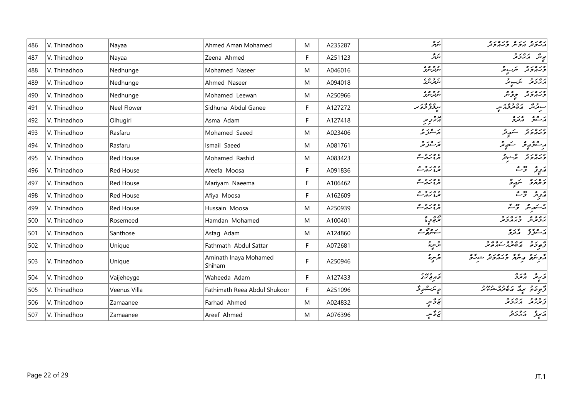| 486 | V. Thinadhoo | Nayaa            | Ahmed Aman Mohamed              | M  | A235287 | سَرتر                            | גם גב גגם בגם גב<br>הגבע הכית בגהכת       |
|-----|--------------|------------------|---------------------------------|----|---------|----------------------------------|-------------------------------------------|
| 487 | V. Thinadhoo | Nayaa            | Zeena Ahmed                     | F. | A251123 | ستردش                            | پې تگه د ترکو تر                          |
| 488 | V. Thinadhoo | Nedhunge         | Mohamed Naseer                  | M  | A046016 | ء و ه ۽<br>سرپرسمد               | ورەرو شبەر                                |
| 489 | V. Thinadhoo | Nedhunge         | Ahmed Naseer                    | M  | A094018 | ے و ه ۽<br>سرپرسر                | رەرو سكىبدىر                              |
| 490 | V. Thinadhoo | Nedhunge         | Mohamed Leewan                  | M  | A250966 | ے و ه ۽<br>سرپرسر                | ورەرو پەھ                                 |
| 491 | V. Thinadhoo | Neel Flower      | Sidhuna Abdul Ganee             | F. | A127272 | ا <sub>س</sub> ووځونمه           | <br>  سوترس مان ده در در سر               |
| 492 | V. Thinadhoo | Olhugiri         | Asma Adam                       | F  | A127418 | پو و<br>در نو <sub>کو</sub> مر   | أرصى أردو                                 |
| 493 | V. Thinadhoo | Rasfaru          | Mohamed Saeed                   | M  | A023406 | ىر ھۇرچە                         | ورەرو سەرقر                               |
| 494 | V. Thinadhoo | Rasfaru          | Ismail Saeed                    | M  | A081761 | ىر ھۇيز                          | ر شرگوری کردیگر                           |
| 495 | V. Thinadhoo | <b>Red House</b> | Mohamed Rashid                  | M  | A083423 | <sup>ى 2</sup> ىر ئەھ            | ورەر و گرىنەتر                            |
| 496 | V. Thinadhoo | <b>Red House</b> | Afeefa Moosa                    | F  | A091836 | ، ه بر د ه<br>مرد سر             | أمار والمحمد المستعمر                     |
| 497 | V. Thinadhoo | <b>Red House</b> | Mariyam Naeema                  | F. | A106462 | ، ه بر د ه<br>مرد سر             | ر ه بر ه<br>تر بر بر<br>سمەرتى            |
| 498 | V. Thinadhoo | <b>Red House</b> | Afiya Moosa                     | F. | A162609 | <sup>ى 2</sup> ىر 2 ھ            | ا پر تو مر<br>دومثر                       |
| 499 | V. Thinadhoo | <b>Red House</b> | Hussain Moosa                   | M  | A250939 | <sup>ى 2</sup> ىر ئەر            | پرستمبر عراقت                             |
| 500 | V. Thinadhoo | Rosemeed         | Hamdan Mohamed                  | M  | A100401 | 0 ء ۾ ج<br>مربح ح <sub>ي</sub> ء | ورەر د<br><i>دى</i> رمەتر<br>رە ئەھ       |
| 501 | V. Thinadhoo | Santhose         | Asfag Adam                      | M  | A124860 | سەھ چىر                          | ىر ھۇ تە<br>مەسىرىتى<br>ە ئەترى           |
| 502 | V. Thinadhoo | Unique           | Fathmath Abdul Sattar           | F  | A072681 | د<br>مرسر ر                      | ه د د د ده ده ده د و                      |
| 503 | V. Thinadhoo | Unique           | Aminath Inaya Mohamed<br>Shiham | F. | A250946 | ە ئەسەرىيە<br>ئە                 | أترجم والملح وره رواحي والمحمد            |
| 504 | V. Thinadhoo | Vaijeheyge       | Waheeda Adam                    | F. | A127433 | پر په پرو<br>  توم فر پر         | كەر ئەزگە                                 |
| 505 | V. Thinadhoo | Veenus Villa     | Fathimath Reea Abdul Shukoor    | F. | A251096 | ا <sub>ھي</sub> سَر <u>صوتح</u>  |                                           |
| 506 | V. Thinadhoo | Zamaanee         | Farhad Ahmed                    | M  | A024832 | ىر ئۇسر<br>ئ                     | ر و و و<br>تو برگ <sup>و</sup> ر<br>پروژو |
| 507 | V. Thinadhoo | Zamaanee         | Areef Ahmed                     | M  | A076396 | ىر ئۇسر<br>ئ                     | كالمحامرو المركدون                        |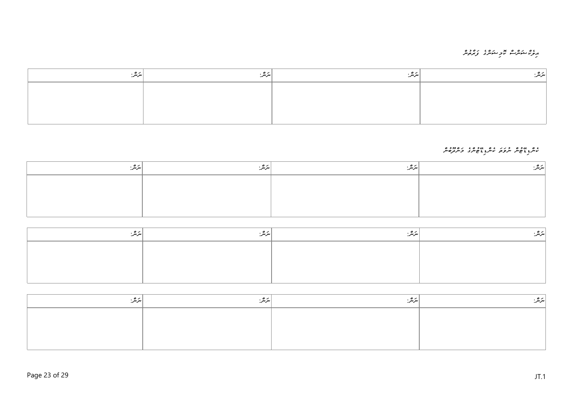## *w7qAn8m? sCw7mRo>u; wEw7mRw;sBo<*

| ' مرمر | 'يئرىثر: |
|--------|----------|
|        |          |
|        |          |
|        |          |

## *w7q9r@w7m> sCw7qHtFoFw7s; mAm=q7 w7qHtFoFw7s;*

| ىر تە | $\mathcal{O} \times$<br>$\sim$ | $\sim$<br>. . | لترنثر |
|-------|--------------------------------|---------------|--------|
|       |                                |               |        |
|       |                                |               |        |
|       |                                |               |        |

| انترنثر: | $^{\circ}$ | يبرهر | $^{\circ}$<br>سرسر |
|----------|------------|-------|--------------------|
|          |            |       |                    |
|          |            |       |                    |
|          |            |       |                    |

| يره | $\mathcal{O} \times$<br>. | $\sim$<br>سرسر | $^{\circ}$<br>مرسر |
|-----|---------------------------|----------------|--------------------|
|     |                           |                |                    |
|     |                           |                |                    |
|     |                           |                |                    |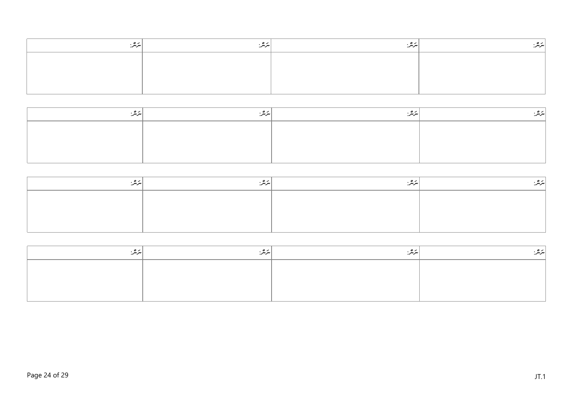| ىزىتر: | $\cdot$ | ىئرىتر: |  |
|--------|---------|---------|--|
|        |         |         |  |
|        |         |         |  |
|        |         |         |  |

| <sup>.</sup> سرسر. |  |
|--------------------|--|
|                    |  |
|                    |  |
|                    |  |

| ىئرىتر. | $\sim$ | ا بر هه. | لىرىش |
|---------|--------|----------|-------|
|         |        |          |       |
|         |        |          |       |
|         |        |          |       |

| 。<br>مرس. | $\overline{\phantom{a}}$<br>مر مىر | يتريثر |
|-----------|------------------------------------|--------|
|           |                                    |        |
|           |                                    |        |
|           |                                    |        |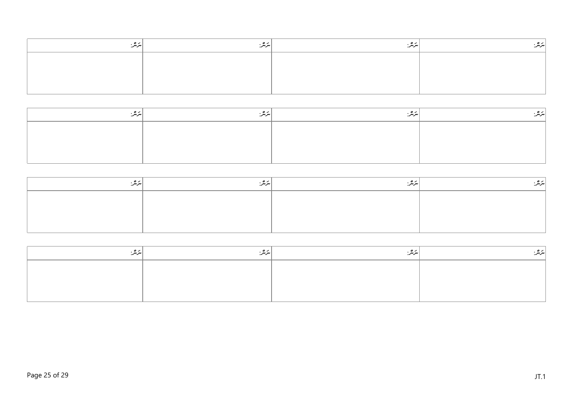| ير هو . | $\overline{\phantom{a}}$ | يرمر | اير هنه. |
|---------|--------------------------|------|----------|
|         |                          |      |          |
|         |                          |      |          |
|         |                          |      |          |

| ئىرتىر: | $\sim$<br>ا سرسر . | يئرمثر | o . |
|---------|--------------------|--------|-----|
|         |                    |        |     |
|         |                    |        |     |
|         |                    |        |     |

| انترنثر: | ر ه |  |
|----------|-----|--|
|          |     |  |
|          |     |  |
|          |     |  |

|  | . ه |
|--|-----|
|  |     |
|  |     |
|  |     |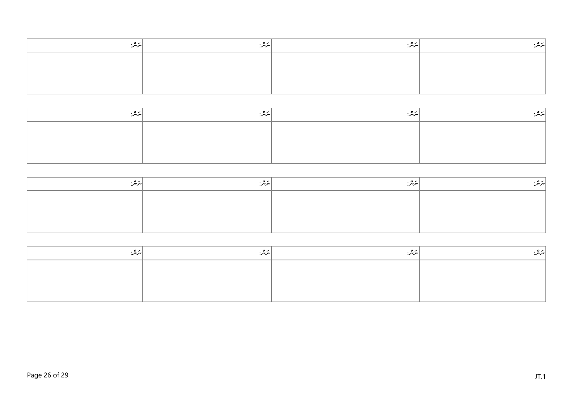| ير هو . | $\overline{\phantom{a}}$ | يرمر | اير هنه. |
|---------|--------------------------|------|----------|
|         |                          |      |          |
|         |                          |      |          |
|         |                          |      |          |

| ىر تىر: | $\circ$ $\sim$<br>" سرسر . | يبرحه | o . |
|---------|----------------------------|-------|-----|
|         |                            |       |     |
|         |                            |       |     |
|         |                            |       |     |

| الترنثر: | ' مرتكز: | الترنثر: | .,<br>سرسر. |
|----------|----------|----------|-------------|
|          |          |          |             |
|          |          |          |             |
|          |          |          |             |

|  | . ه |
|--|-----|
|  |     |
|  |     |
|  |     |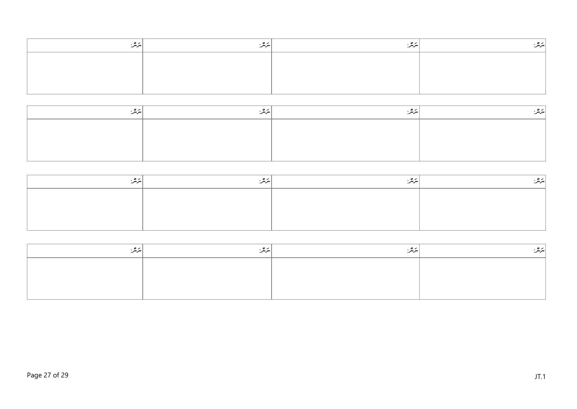| $\cdot$ | ο. | $\frac{\circ}{\cdot}$ | $\sim$<br>سرسر |
|---------|----|-----------------------|----------------|
|         |    |                       |                |
|         |    |                       |                |
|         |    |                       |                |

| يريثن | ' سرسر . |  |
|-------|----------|--|
|       |          |  |
|       |          |  |
|       |          |  |

| بر ه | 。 | $\overline{\phantom{0}}$<br>َ سومس. |  |
|------|---|-------------------------------------|--|
|      |   |                                     |  |
|      |   |                                     |  |
|      |   |                                     |  |

| 。<br>. س | ىرىىر |  |
|----------|-------|--|
|          |       |  |
|          |       |  |
|          |       |  |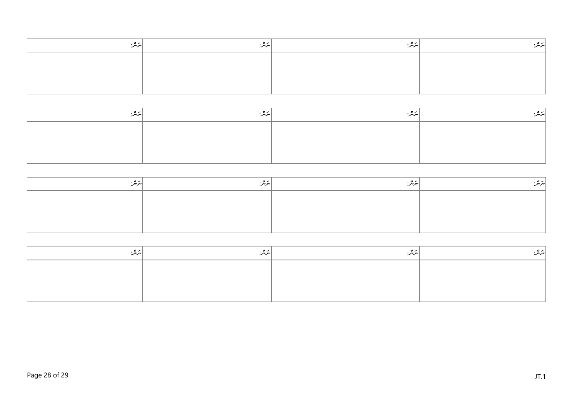| ير هو . | $\overline{\phantom{a}}$ | يرمر | لتزمثن |
|---------|--------------------------|------|--------|
|         |                          |      |        |
|         |                          |      |        |
|         |                          |      |        |

| ىر تىر: | $\circ$ $\sim$<br>" سرسر . | يبرحه | o . |
|---------|----------------------------|-------|-----|
|         |                            |       |     |
|         |                            |       |     |
|         |                            |       |     |

| انترنثر: | ر ه |  |
|----------|-----|--|
|          |     |  |
|          |     |  |
|          |     |  |

|  | . ه |
|--|-----|
|  |     |
|  |     |
|  |     |